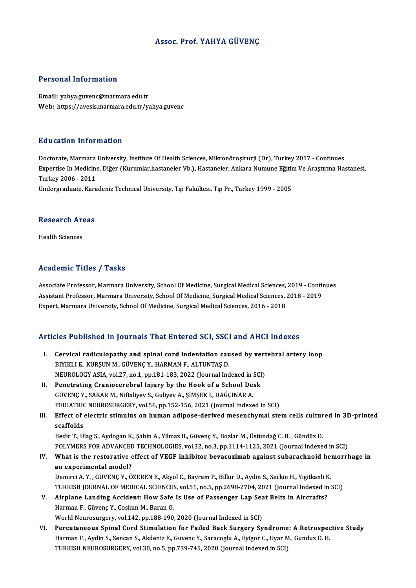#### Assoc. Prof. YAHYA GÜVENÇ

#### Personal Information

Email: yahya.guvenc@marmara.edu.tr Web: https://avesis.marmara.edu.tr/yahya.guvenc

#### Education Information

Education Information<br>Doctorate, Marmara University, Institute Of Health Sciences, Mikronöroşirurji (Dr), Turkey 2017 - Continues<br>Expertise In Medisine, Dižer (Kurumlar bastaneler Vb.), Hestaneler, Ankara Numune Fătțim Ve Eu d'od'eren Timon inderon<br>Doctorate, Marmara University, Institute Of Health Sciences, Mikronöroşirurji (Dr), Turkey 2017 - Continues<br>Expertise In Medicine, Diğer (Kurumlar,hastaneler Vb.), Hastaneler, Ankara Numune Eğiti Doctorate, Marmara<br>Expertise In Medicine<br>Turkey 2006 - 2011<br>Undergreduate Kers Expertise In Medicine, Diğer (Kurumlar,hastaneler Vb.), Hastaneler, Ankara Numune Eğitir<br>Turkey 2006 - 2011<br>Undergraduate, Karadeniz Technical University, Tıp Fakültesi, Tıp Pr., Turkey 1999 - 2005

## ondergraduate, Kara<br>Research Areas R<mark>esearch Ar</mark><br>Health Sciences

## Academic Titles / Tasks

Academic Titles / Tasks<br>Associate Professor, Marmara University, School Of Medicine, Surgical Medical Sciences, 2019 - Continues<br>Assistant Professor, Marmara University, School Of Medicine, Surgical Medical Sciences, 2019 Associate Professor, Marmara University, School Of Medicine, Surgical Medical Sciences, 2019 - Contin<br>Assistant Professor, Marmara University, School Of Medicine, Surgical Medical Sciences, 2018 - 2019<br>Evnert, Marmara Univ Associate Professor, Marmara University, School Of Medicine, Surgical Medical Sciences,<br>Assistant Professor, Marmara University, School Of Medicine, Surgical Medical Sciences, .<br>Expert, Marmara University, School Of Medici

## Expert, Marmara University, School Of Medicine, Surgical Medical Sciences, 2016 - 2018<br>Articles Published in Journals That Entered SCI, SSCI and AHCI Indexes

- rticles Published in Journals That Entered SCI, SSCI and AHCI Indexes<br>I. Cervical radiculopathy and spinal cord indentation caused by vertebral artery loop<br>RIVIVI LE VURSUN M. CÜVENC V. HARMAN E. ALTUNTAS D BIYIKLI E., KURŞUN M., GÜVENÇ Y., HARMAN F., ALTUNTAŞ D.<br>NEUROLOGY ASIA, vol.27, no.1, pp.181-183, 2022 (Journal Indexed in SCI) Cervical radiculopathy and spinal cord indentation caused by vert<br>BIYIKLI E., KURŞUN M., GÜVENÇ Y., HARMAN F., ALTUNTAŞ D.<br>NEUROLOGY ASIA, vol.27, no.1, pp.181-183, 2022 (Journal Indexed in SCI)<br>Penetrating Cranicsersbral BIYIKLI E., KURŞUN M., GÜVENÇ Y., HARMAN F., ALTUNTAŞ D.<br>NEUROLOGY ASIA, vol.27, no.1, pp.181-183, 2022 (Journal Indexed in SCI<br>II. Penetrating Craniocerebral Injury by the Hook of a School Desk<br>CÜVENC Y. SAKAR M. Nitraliy
- NEUROLOGY ASIA, vol.27, no.1, pp.181-183, 2022 (Journal Indexed in :<br>Penetrating Craniocerebral Injury by the Hook of a School De.<br>GÜVENÇ Y., SAKAR M., Niftaliyev S., Guliyev A., ŞİMŞEK İ., DAĞÇINAR A.<br>PEDIATRIC NEUROSURCE GÜVENÇ Y., SAKAR M., Niftaliyev S., Guliyev A., ŞİMŞEK İ., DAĞÇINAR A.<br>PEDIATRIC NEUROSURGERY, vol.56, pp.152-156, 2021 (Journal Indexed in SCI) GÜVENÇ Y., SAKAR M., Niftaliyev S., Guliyev A., ŞİMŞEK İ., DAĞÇINAR A.<br>PEDIATRIC NEUROSURGERY, vol.56, pp.152-156, 2021 (Journal Indexed in SCI)<br>III. Effect of electric stimulus on human adipose-derived mesenchymal stem ce
- PEDIATRIC<br>Effect of<br>scaffolds<br>Pedir T-UI Effect of electric stimulus on human adipose-derived mesenchymal stem cells cultur<br>scaffolds<br>Bedir T., Ulag S., Aydogan K., Şahin A., Yilmaz B., Güvenç Y., Bozlar M., Üstündağ C. B. , Gündüz O.<br>POLYMERS EOR ADVANCED TECHNO

scaffolds<br>Bedir T., Ulag S., Aydogan K., Şahin A., Yilmaz B., Güvenç Y., Bozlar M., Üstündağ C. B. , Gündüz O.<br>POLYMERS FOR ADVANCED TECHNOLOGIES, vol.32, no.3, pp.1114-1125, 2021 (Journal Indexed in SCI)<br>What is the reste

Bedir T., Ulag S., Aydogan K., Şahin A., Yilmaz B., Güvenç Y., Bozlar M., Üstündağ C. B. , Gündüz O.<br>POLYMERS FOR ADVANCED TECHNOLOGIES, vol.32, no.3, pp.1114-1125, 2021 (Journal Indexed in SCI)<br>IV. What is the restora POLYMERS FOR ADVANCEL<br>What is the restorative of<br>an experimental model?<br>Dominal A y - CUVENC y - Ö What is the restorative effect of VEGF inhibitor bevacuzimab against subarachnoid het<br>an experimental model?<br>Demirci A.Y. ,GÜVENÇ Y., ÖZEREN E., Akyol C., Bayram P., Billur D., Aydin S., Seckin H., Yigitkanli K.<br>TURKISH JO

an experimental model?<br>Demirci A. Y. , GÜVENÇ Y., ÖZEREN E., Akyol C., Bayram P., Billur D., Aydin S., Seckin H., Yigitkanli K.<br>TURKISH JOURNAL OF MEDICAL SCIENCES, vol.51, no.5, pp.2698-2704, 2021 (Journal Indexed in SCI) Demirci A. Y., GÜVENÇ Y., ÖZEREN E., Akyol C., Bayram P., Billur D., Aydin S., Seckin H., Yigitkanli K<br>TURKISH JOURNAL OF MEDICAL SCIENCES, vol.51, no.5, pp.2698-2704, 2021 (Journal Indexed in<br>V. Airplane Landing Accident:

- TURKISH JOURNAL OF MEDICAL SCIENCES, vol.51, no.5, pp.2698-2704, 2021 (Journal Indexed in SCI)<br>Airplane Landing Accident: How Safe Is Use of Passenger Lap Seat Belts in Aircrafts?<br>Harman F., Güvenç Y., Coskun M., Baran O.<br> V. Airplane Landing Accident: How Safe Is Use of Passenger Lap Seat Belts in Aircrafts?
- VI. Percutaneous Spinal Cord Stimulation for Failed Back Surgery Syndrome: A Retrospective Study World Neurosurgery, vol.142, pp.188-190, 2020 (Journal Indexed in SCI)<br>Percutaneous Spinal Cord Stimulation for Failed Back Surgery Syndrome: A Retrospec<br>Harman F., Aydin S., Sencan S., Akdeniz E., Guvenc Y., Saracoglu A., Percutaneous Spinal Cord Stimulation for Failed Back Surgery Syndrome<br>Harman F., Aydin S., Sencan S., Akdeniz E., Guvenc Y., Saracoglu A., Eyigor C., Uyar M<br>TURKISH NEUROSURGERY, vol.30, no.5, pp.739-745, 2020 (Journal Ind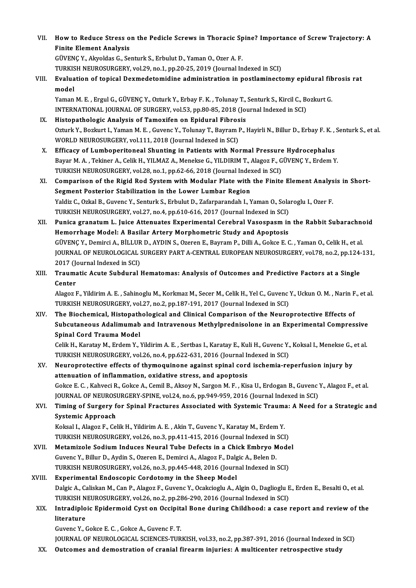VII. How to Reduce Stress on the Pedicle Screws in Thoracic Spine? Importance of Screw Trajectory: A<br>Finite Flement Anglysic **How to Reduce Stress of**<br>Finite Element Analysis<br>C<sup>üncenc V. Alweldes G. So</sup> How to Reduce Stress on the Pedicle Screws in Thoracic Sp<br>Finite Element Analysis<br>GÜVENÇ Y., Akyoldas G., Senturk S., Erbulut D., Yaman O., Ozer A. F.<br>TURKISH NEUROSURGERY vol 29, no.1, np.20.25, 2019 (Journal In

Finite Element Analysis<br>GÜVENÇ Y., Akyoldas G., Senturk S., Erbulut D., Yaman O., Ozer A. F.<br>TURKISH NEUROSURGERY, vol.29, no.1, pp.20-25, 2019 (Journal Indexed in SCI)<br>Evaluation of topical Deumodatomidine administration

### GÜVENÇ Y., Akyoldas G., Senturk S., Erbulut D., Yaman O., Ozer A. F.<br>TURKISH NEUROSURGERY, vol.29, no.1, pp.20-25, 2019 (Journal Indexed in SCI)<br>VIII. Evaluation of topical Dexmedetomidine administration in postlaminec TURKIS<br><mark>Evalua</mark><br>model<br><sup>Vaman</sup> Evaluation of topical Dexmedetomidine administration in postlaminectomy epidural fib<br>model<br>Yaman M. E. , Ergul G., GÜVENÇ Y., Ozturk Y., Erbay F. K. , Tolunay T., Senturk S., Kircil C., Bozkurt G.<br>INTERNATIONAL JOURNAL OF

model<br>Yaman M. E. , Ergul G., GÜVENÇ Y., Ozturk Y., Erbay F. K. , Tolunay T., Senturk S., Kircil C., B.<br>INTERNATIONAL JOURNAL OF SURGERY, vol.53, pp.80-85, 2018 (Journal Indexed in SCI)<br>Histopathelegis Analysis of Tamovifo Yaman M. E. , Ergul G., GÜVENÇ Y., Ozturk Y., Erbay F. K. , Tolunay T.,<br>INTERNATIONAL JOURNAL OF SURGERY, vol.53, pp.80-85, 2018 (Journal Fibrosis<br>IX. Histopathologic Analysis of Tamoxifen on Epidural Fibrosis<br>Orturk Y. Bo

- INTERNATIONAL JOURNAL OF SURGERY, vol.53, pp.80-85, 2018 (Journal Indexed in SCI)<br>Histopathologic Analysis of Tamoxifen on Epidural Fibrosis<br>Ozturk Y., Bozkurt I., Yaman M. E. , Guvenc Y., Tolunay T., Bayram P., Hayirli N. Histopathologic Analysis of Tamoxifen on Epidural Fibros<br>Ozturk Y., Bozkurt I., Yaman M. E. , Guvenc Y., Tolunay T., Bayram I<br>WORLD NEUROSURGERY, vol.111, 2018 (Journal Indexed in SCI)<br>Efficesy of Lumbonesitoneal Shunting Ozturk Y., Bozkurt I., Yaman M. E., Guvenc Y., Tolunay T., Bayram P., Hayirli N., Billur D., Erbay F. K.,<br>WORLD NEUROSURGERY, vol.111, 2018 (Journal Indexed in SCI)<br>X. Efficacy of Lumboperitoneal Shunting in Patients with
- WORLD NEUROSURGERY, vol.111, 2018 (Journal Indexed in SCI)<br>X. Efficacy of Lumboperitoneal Shunting in Patients with Normal Pressure Hydrocephalus<br>Bayar M. A. , Tekiner A., Celik H., YILMAZ A., Menekse G., YILDIRIM T., Alag Efficacy of Lumboperitoneal Shunting in Patients with Normal Pressure<br>Bayar M. A. , Tekiner A., Celik H., YILMAZ A., Menekse G., YILDIRIM T., Alagoz F., G<br>TURKISH NEUROSURGERY, vol.28, no.1, pp.62-66, 2018 (Journal Indexed Bayar M. A. , Tekiner A., Celik H., YILMAZ A., Menekse G., YILDIRIM T., Alagoz F., GÜVENÇ Y., Erdem Y.<br>TURKISH NEUROSURGERY, vol.28, no.1, pp.62-66, 2018 (Journal Indexed in SCI)<br>XI. Comparison of the Rigid Rod System with
- TURKISH NEUROSURGERY, vol.28, no.1, pp.62-66, 2018 (Journal Index<br>Comparison of the Rigid Rod System with Modular Plate with<br>Segment Posterior Stabilization in the Lower Lumbar Region<br>Voldiz C. Orkel B. Cuyens V. Sentual: Comparison of the Rigid Rod System with Modular Plate with the Finite Element Analys<br>Segment Posterior Stabilization in the Lower Lumbar Region<br>Yaldiz C., Ozkal B., Guvenc Y., Senturk S., Erbulut D., Zafarparandah I., Yama Segment Posterior Stabilization in the Lower Lumbar Region<br>Yaldiz C., Ozkal B., Guvenc Y., Senturk S., Erbulut D., Zafarparandah I., Yaman O., Solaroglu I., Ozer F.<br>TURKISH NEUROSURGERY, vol.27, no.4, pp.610-616, 2017 (Jou Yaldiz C., Ozkal B., Guvenc Y., Senturk S., Erbulut D., Zafarparandah I., Yaman O., Solaroglu I., Ozer F.<br>TURKISH NEUROSURGERY, vol.27, no.4, pp.610-616, 2017 (Journal Indexed in SCI)<br>XII. Punica granatum L. Juice Attenuat
- Hemorrhage Model: A Basilar Artery Morphometric Study and Apoptosis Punica granatum L. Juice Attenuates Experimental Cerebral Vasospasm in the Rabbit Subarachno<br>Hemorrhage Model: A Basilar Artery Morphometric Study and Apoptosis<br>GÜVENÇ Y., Demirci A., BİLLUR D., AYDIN S., Ozeren E., Bayram JOURNAL OF NEUROLOGICAL SURGERY PART A-CENTRAL EUROPEAN NEUROSURGERY, vol.78, no.2, pp.124-131,<br>2017 (Journal Indexed in SCI) GÜVENÇ Y., Demirci A., BİLLUR D., AYDIN S., Ozeren E., Bayram P., Dilli A., Gokce E. C., Yaman O., Celik H., et al. JOURNAL OF NEUROLOGICAL SURGERY PART A-CENTRAL EUROPEAN NEUROSURGERY, vol.78, no.2, pp.124-<br>2017 (Journal Indexed in SCI)<br>XIII. Traumatic Acute Subdural Hematomas: Analysis of Outcomes and Predictive Factors at a Singl
- 2017 (Jennes<br>Center<br>Center Traumatic Acute Subdural Hematomas: Analysis of Outcomes and Predictive Factors at a Single<br>Center<br>Alagoz F., Yildirim A. E. , Sahinoglu M., Korkmaz M., Secer M., Celik H., Yel C., Guvenc Y., Uckun O. M. , Narin F., et al.

Center<br>Alagoz F., Yildirim A. E. , Sahinoglu M., Korkmaz M., Secer M., Celik H., Yel C., Guvenc<br>TURKISH NEUROSURGERY, vol.27, no.2, pp.187-191, 2017 (Journal Indexed in SCI)<br>The Bieshemisel, Histopathelegisel and Clinisel TURKISH NEUROSURGERY, vol.27, no.2, pp.187-191, 2017 (Journal Indexed in SCI)<br>XIV. The Biochemical, Histopathological and Clinical Comparison of the Neuroprotective Effects of

TURKISH NEUROSURGERY, vol.27, no.2, pp.187-191, 2017 (Journal Indexed in SCI)<br>The Biochemical, Histopathological and Clinical Comparison of the Neuroprotective Effects of<br>Subcutaneous Adalimumab and Intravenous Methylpredn The Biochemical, Histopath<br>Subcutaneous Adalimumab<br>Spinal Cord Trauma Model<br>Celik H. Karatay M. Erdem V. Y Subcutaneous Adalimumab and Intravenous Methylprednisolone in an Experimental Compressive<br>Spinal Cord Trauma Model<br>Celik H., Karatay M., Erdem Y., Yildirim A. E. , Sertbas I., Karatay E., Kuli H., Guvenc Y., Koksal I., Men

Spinal Cord Trauma Model<br>Celik H., Karatay M., Erdem Y., Yildirim A. E. , Sertbas I., Karatay E., Kuli H., Guvenc Y., Koksal I., Menekse G., et al.<br>TURKISH NEUROSURGERY, vol.26, no.4, pp.622-631, 2016 (Journal Indexed in S Celik H., Karatay M., Erdem Y., Yildirim A. E. , Sertbas I., Karatay E., Kuli H., Guvenc Y., Koksal I., Menekse G.,<br>TURKISH NEUROSURGERY, vol.26, no.4, pp.622-631, 2016 (Journal Indexed in SCI)<br>XV. Neuroprotective effects

TURKISH NEUROSURGERY, vol.26, no.4, pp.622-631, 2016 (Journal In<br>Neuroprotective effects of thymoquinone against spinal cord<br>attenuation of inflammation, oxidative stress, and apoptosis<br>Coltec E.C. Kehyesi P. Coltec A. Com Neuroprotective effects of thymoquinone against spinal cord ischemia-reperfusion injury by<br>attenuation of inflammation, oxidative stress, and apoptosis<br>Gokce E. C. , Kahveci R., Gokce A., Cemil B., Aksoy N., Sargon M. F. , attenuation of inflammation, oxidative stress, and apoptosis<br>Gokce E. C. , Kahveci R., Gokce A., Cemil B., Aksoy N., Sargon M. F. , Kisa U., Erdogan B., Guvenc Y., Alagoz F., et al.<br>JOURNAL OF NEUROSURGERY-SPINE, vol.24, n Gokce E. C. , Kahveci R., Gokce A., Cemil B., Aksoy N., Sargon M. F. , Kisa U., Erdogan B., Guvenc Y., Alagoz F., et al.<br>JOURNAL OF NEUROSURGERY-SPINE, vol.24, no.6, pp.949-959, 2016 (Journal Indexed in SCI)<br>XVI. Timin

## **JOURNAL OF NEUROST<br>Timing of Surgery f<br>Systemic Approach<br>Koksal L Alazer E. Cal** Timing of Surgery for Spinal Fractures Associated with Systemic Traum:<br>Systemic Approach<br>Koksal I., Alagoz F., Celik H., Yildirim A. E. , Akin T., Guvenc Y., Karatay M., Erdem Y.<br>TURKISH NEUROSURCERY vol 26 no 3 np 411 415

Systemic Approach<br>Koksal I., Alagoz F., Celik H., Yildirim A. E. , Akin T., Guvenc Y., Karatay M., Erdem Y.<br>TURKISH NEUROSURGERY, vol.26, no.3, pp.411-415, 2016 (Journal Indexed in SCI)

Koksal I., Alagoz F., Celik H., Yildirim A. E. , Akin T., Guvenc Y., Karatay M., Erdem Y.<br>TURKISH NEUROSURGERY, vol.26, no.3, pp.411-415, 2016 (Journal Indexed in SCI)<br>XVII. Metamizole Sodium Induces Neural Tube Defects in TURKISH NEUROSURGERY, vol.26, no.3, pp.411-415, 2016 (Journal Indexed in Metamizole Sodium Induces Neural Tube Defects in a Chick Embryo M.<br>Guvenc Y., Billur D., Aydin S., Ozeren E., Demirci A., Alagoz F., Dalgic A., Belen Metamizole Sodium Induces Neural Tube Defects in a Chick Embryo Mode<br>Guvenc Y., Billur D., Aydin S., Ozeren E., Demirci A., Alagoz F., Dalgic A., Belen D.<br>TURKISH NEUROSURGERY, vol.26, no.3, pp.445-448, 2016 (Journal Index Guvenc Y., Billur D., Aydin S., Ozeren E., Demirci A., Alagoz F., Dalgic A., Belen D.<br>TURKISH NEUROSURGERY, vol.26, no.3, pp.445-448, 2016 (Journal Indexed in SCI)<br>XVIII. Experimental Endoscopic Cordotomy in the Sheep Mode

### TURKISH NEUROSURGERY, vol.26, no.3, pp.445-448, 2016 (Journal Indexed in SCI)<br><mark>Experimental Endoscopic Cordotomy in the Sheep Model</mark><br>Dalgic A., Caliskan M., Can P., Alagoz F., Guvenc Y., Ocakcioglu A., Algin O., Daglioglu Experimental Endoscopic Cordotomy in the Sheep Model<br>Dalgic A., Caliskan M., Can P., Alagoz F., Guvenc Y., Ocakcioglu A., Algin O., Daglioglu E<br>TURKISH NEUROSURGERY, vol.26, no.2, pp.286-290, 2016 (Journal Indexed in SCI)<br> Dalgic A., Caliskan M., Can P., Alagoz F., Guvenc Y., Ocakcioglu A., Algin O., Daglioglu E., Erden E., Besalti O., et al.<br>TURKISH NEUROSURGERY, vol.26, no.2, pp.286-290, 2016 (Journal Indexed in SCI)<br>XIX. Intradiploic Epid

## TURKISH NEUROSURGERY, vol.26, no.2, pp.286-290, 2016 (Journal Indexed in SCI)<br>Intradiploic Epidermoid Cyst on Occipital Bone during Childhood: a case<br>literature<br>Guvenc Y., Gokce E. C. , Gokce A., Guvenc F. T. Intradiploic Epidermoid Cyst on Occipit<br>literature<br>Guvenc Y., Gokce E. C. , Gokce A., Guvenc F. T.<br>JOUPNAL OF NEUPOLOCICAL SCIENCES TUP

JOURNAL OF NEUROLOGICAL SCIENCES-TURKISH, vol.33, no.2, pp.387-391, 2016 (Journal Indexed in SCI)

XX. Outcomes and demostration of cranial firearm injuries: A multicenter retrospective study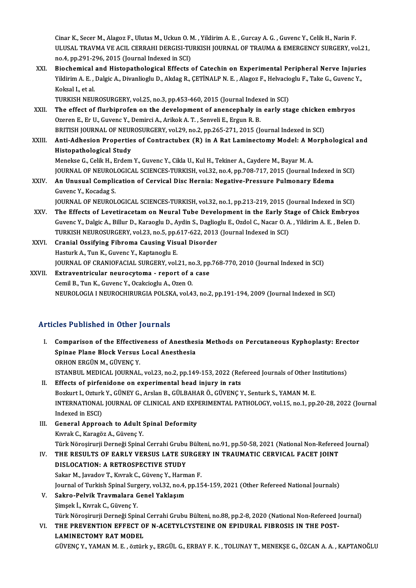Cinar K., Secer M., Alagoz F., Ulutas M., Uckun O. M. , Yildirim A. E. , Gurcay A. G. , Guvenc Y., Celik H., Narin F.<br>ULUSAL TRAVMA VE ACU, CERRAHI DERCISI TURKISH JOURNAL OF TRAUMA & EMERCENCY SURCERY, YO Cinar K., Secer M., Alagoz F., Ulutas M., Uckun O. M. , Yildirim A. E. , Gurcay A. G. , Guvenc Y., Celik H., Narin F.<br>ULUSAL TRAVMA VE ACIL CERRAHI DERGISI-TURKISH JOURNAL OF TRAUMA & EMERGENCY SURGERY, vol.21,<br>ne 4, np 39 Cinar K., Secer M., Alagoz F., Ulutas M., Uckun O. N<br>ULUSAL TRAVMA VE ACIL CERRAHI DERGISI-TU<br>no.4, pp.291-296, 2015 (Journal Indexed in SCI)<br>Piesbemisel and Histopsthelesisel Effects ULUSAL TRAVMA VE ACIL CERRAHI DERGISI-TURKISH JOURNAL OF TRAUMA & EMERGENCY SURGERY, vol.21<br>no.4, pp.291-296, 2015 (Journal Indexed in SCI)<br>XXI. Biochemical and Histopathological Effects of Catechin on Experimental Periphe

no.4, pp.291-296, 2015 (Journal Indexed in SCI)<br>Biochemical and Histopathological Effects of Catechin on Experimental Peripheral Nerve Injurie<br>Yildirim A. E. , Dalgic A., Divanlioglu D., Akdag R., ÇETİNALP N. E. , Alagoz F **Biochemical<br>Yildirim A. E. ,<br>Koksal I., et al.<br>TURKISH NEU** Yildirim A. E. , Dalgic A., Divanlioglu D., Akdag R., ÇETİNALP N. E. , Alagoz F., Helvacioglu F., Take G., Guvenc Y.,<br>Koksal I.. et al.

TURKISH NEUROSURGERY, vol.25, no.3, pp.453-460, 2015 (Journal Indexed in SCI)

- XXII. The effect of flurbiprofen on the development of anencephaly in early stage chicken embryos Ozeren E. Er U. Guvenc Y. Demirci A. Arikok A. T. Senveli E. Ergun R. B. The effect of flurbiprofen on the development of anencephaly in early stage chicken<br>Ozeren E., Er U., Guvenc Y., Demirci A., Arikok A. T. , Senveli E., Ergun R. B.<br>BRITISH JOURNAL OF NEUROSURGERY, vol.29, no.2, pp.265-271,
- Ozeren E., Er U., Guvenc Y., Demirci A., Arikok A. T. , Senveli E., Ergun R. B.<br>BRITISH JOURNAL OF NEUROSURGERY, vol.29, no.2, pp.265-271, 2015 (Journal Indexed in SCI)<br>XXIII. Anti-Adhesion Properties of Contractubex (R) i BRITISH JOURNAL OF NEUF<br>Anti-Adhesion Propertie<br>Histopathological Study<br>Menekse C. Colik H. Erdem Anti-Adhesion Properties of Contractubex (R) in A Rat Laminectomy Model: A Menekse G., Celik H., Erdem Y., Guvenc Y., Cikla U., Kul H., Tekiner A., Caydere M., Bayar M. A.<br>Menekse G., Celik H., Erdem Y., Guvenc Y., Cikla U

Histopathological Study<br>Menekse G., Celik H., Erdem Y., Guvenc Y., Cikla U., Kul H., Tekiner A., Caydere M., Bayar M. A.<br>JOURNAL OF NEUROLOGICAL SCIENCES-TURKISH, vol.32, no.4, pp.708-717, 2015 (Journal Indexed in SCI)<br>An Menekse G., Celik H., Erdem Y., Guvenc Y., Cikla U., Kul H., Tekiner A., Caydere M., Bayar M. A.<br>JOURNAL OF NEUROLOGICAL SCIENCES-TURKISH, vol.32, no.4, pp.708-717, 2015 (Journal Indexed<br>XXIV. An Unusual Complication of Ce

- **JOURNAL OF NEUROL<br>An Unusual Compli**<br>Guvenc Y., Kocadag S.<br>JOUPNAL OF NEUROL An Unusual Complication of Cervical Disc Hernia: Negative-Pressure Pulmonary Edema<br>Guvenc Y., Kocadag S.<br>JOURNAL OF NEUROLOGICAL SCIENCES-TURKISH, vol.32, no.1, pp.213-219, 2015 (Journal Indexed in SCI) Guvenc Y., Kocadag S.<br>JOURNAL OF NEUROLOGICAL SCIENCES-TURKISH, vol.32, no.1, pp.213-219, 2015 (Journal Indexed in SCI)<br>XXV. The Effects of Levetiracetam on Neural Tube Development in the Early Stage of Chick Embryos<br>Cuven
- JOURNAL OF NEUROLOGICAL SCIENCES-TURKISH, vol.32, no.1, pp.213-219, 2015 (Journal Indexed in SCI)<br>The Effects of Levetiracetam on Neural Tube Development in the Early Stage of Chick Embryos<br>Guvenc Y., Dalgic A., Billur D., The Effects of Levetiracetam on Neural Tube Development in the Early St<br>Guvenc Y., Dalgic A., Billur D., Karaoglu D., Aydin S., Daglioglu E., Ozdol C., Nacar O. A<br>TURKISH NEUROSURGERY, vol.23, no.5, pp.617-622, 2013 (Journ Guvenc Y., Dalgic A., Billur D., Karaoglu D., Aydin S., Daglioglu E., Ozdol C., Nacar O. A. , Yildirim A. E. , Belen D.<br>TURKISH NEUROSURGERY, vol.23, no.5, pp.617-622, 2013 (Journal Indexed in SCI)<br>XXVI. Cranial Ossifying TURKISH NEUROSURGERY, vol.23, no.5, pp.617-622, 2013 (Journal Indexed in SCI)
- Cranial Ossifying Fibroma Causing Visual Disorder<br>Hasturk A., Tun K., Guvenc Y., Kaptanoglu E.<br>JOURNAL OF CRANIOFACIAL SURGERY, vol.21, no.3, pp.768-770, 2010 (Journal Indexed in SCI)<br>Extraventricular nourogytoma , roport
- XXVII. Extraventricular neurocytoma report of a case<br>Cemil B., Tun K., Guvenc Y., Ocakcioglu A., Ozen O. **JOURNAL OF CRANIOFACIAL SURGERY, vol.21, no<br>Extraventricular neurocytoma - report of a<br>Cemil B., Tun K., Guvenc Y., Ocakcioglu A., Ozen O.<br>NEUROLOCIA I NEUROCHIBURCIA POLSKA vol.4** NEUROLOGIAINEUROCHIRURGIAPOLSKA,vol.43,no.2,pp.191-194,2009 (Journal Indexed inSCI)

### Articles Published in Other Journals

- rticles Published in Other Journals<br>I. Comparison of the Effectiveness of Anesthesia Methods on Percutaneous Kyphoplasty: Erector<br>Spines Plane Plack Versus Lessi Anesthesia Spinae Plane Block Versus Doct Andreas<br>Spinae Plane Block Versus Local Anesthesia<br>OPHON ERGÜN M. GÜVENG V Comparison of the Effective<br>Spinae Plane Block Versus<br>ORHON ERGÜN M., GÜVENÇ Y.<br>ISTANPUL MEDICAL IQUPNAL Spinae Plane Block Versus Local Anesthesia<br>ORHON ERGÜN M., GÜVENÇ Y.<br>ISTANBUL MEDICAL JOURNAL, vol.23, no.2, pp.149-153, 2022 (Refereed Journals of Other Institutions)
- II. Effects of pirfenidone on experimental head injury in rats ISTANBUL MEDICAL JOURNAL, vol.23, no.2, pp.149-153, 2022 (Refereed Journals of Other Ir<br>Effects of pirfenidone on experimental head injury in rats<br>Bozkurt I., Ozturk Y., GÜNEY G., Arslan B., GÜLBAHAR Ö., GÜVENÇ Y., Senturk INTERNATIONAL JOURNAL OF CLINICAL AND EXPERIMENTAL PATHOLOGY, vol.15, no.1, pp.20-28, 2022 (Journal Indexed in ESCI) Bozkurt I., Ozturk<br>INTERNATIONAL<br>Indexed in ESCI)<br>Conexel Annros INTERNATIONAL JOURNAL OF CLINICAL AND EXP.<br>Indexed in ESCI)<br>III. General Approach to Adult Spinal Deformity<br>Eurok C. Kanagar A. Güyene Y.
- Indexed in ESCI)<br>General Approach to Adult !<br>Kıvrak C., Karagöz A., Güvenç Y.<br>Türk Nörosinurii Derneği Spinel Kıvrak C., Karagöz A., Güvenç Y.<br>Türk Nöroşirurji Derneği Spinal Cerrahi Grubu Bülteni, no.91, pp.50-58, 2021 (National Non-Refereed Journal) Kıvrak C., Karagöz A., Güvenç Y.<br>Türk Nöroşirurji Derneği Spinal Cerrahi Grubu Bülteni, no.91, pp.50-58, 2021 (National Non-Referee<br>IV. THE RESULTS OF EARLY VERSUS LATE SURGERY IN TRAUMATIC CERVICAL FACET JOINT<br>DISLOCA
- Türk Nöroşirurji Derneği Spinal Cerrahi Grubu<br>THE RESULTS OF EARLY VERSUS LATE SU<br>DISLOCATION: A RETROSPECTIVE STUDY<br>Sakar M. Javadov T. Kurrak G. Güvana V. Harm THE RESULTS OF EARLY VERSUS LATE SURGE.<br>DISLOCATION: A RETROSPECTIVE STUDY<br>Sakar M., Javadov T., Kıvrak C., Güvenç Y., Harman F.<br>Journal of Turkish Spinal Surgowy vol 22 no 4 nn 15 DISLOCATION: A RETROSPECTIVE STUDY<br>Sakar M., Javadov T., Kıvrak C., Güvenç Y., Harman F.<br>Journal of Turkish Spinal Surgery, vol.32, no.4, pp.154-159, 2021 (Other Refereed National Journals)<br>Sakne, Bakyik Traymalara Canal V Sakar M., Javadov T., Kıvrak C., Güvenç Y., Harm<br>Journal of Turkish Spinal Surgery, vol.32, no.4,<br>V. Sakro-Pelvik Travmalara Genel Yaklaşım<br>Simsek İ. Kumak G. Güyene Y. Journal of Turkish Spinal Surg<br><mark>Sakro-Pelvik Travmalara (</mark><br>Şimşek İ., Kıvrak C., Güvenç Y.<br>Türk Nönosinurji Donneği Spir
	-

Sakro-Pelvik Travmalara Genel Yaklaşım<br>Şimşek İ., Kıvrak C., Güvenç Y.<br>Türk Nöroşirurji Derneği Spinal Cerrahi Grubu Bülteni, no.88, pp.2-8, 2020 (National Non-Refereed Journal)<br>THE PREVENTION EEEECT OF N. ACETVI CYSTEINE

Şimşek İ., Kıvrak C., Güvenç Y.<br>Türk Nöroşirurji Derneği Spinal Cerrahi Grubu Bülteni, no.88, pp.2-8, 2020 (National Non-Refereed ]<br>VI. THE PREVENTION EFFECT OF N-ACETYLCYSTEINE ON EPIDURAL FIBROSIS IN THE POST-Türk Nöroşirurji Derneği Spinal<br>THE PREVENTION EFFECT O<br>LAMINECTOMY RAT MODEL<br>CÜVENC V. YAMAN M.E., ÖTÜL VI. THE PREVENTION EFFECT OF N-ACETYLCYSTEINE ON EPIDURAL FIBROSIS IN THE POST-<br>LAMINECTOMY RAT MODEL<br>GÜVENÇ Y., YAMAN M. E. , öztürk y., ERGÜL G., ERBAY F. K. , TOLUNAY T., MENEKŞE G., ÖZCAN A. A. , KAPTANOĞLU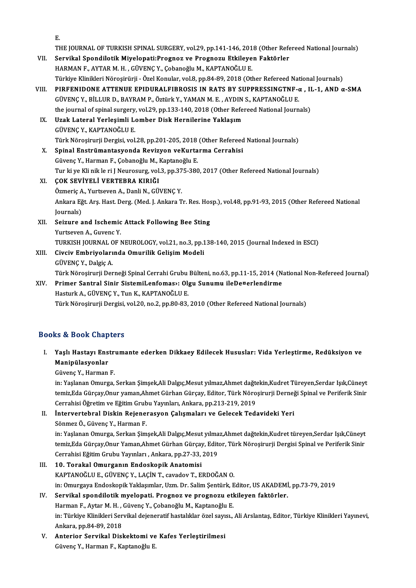E.

| Е.                                                                                                 |
|----------------------------------------------------------------------------------------------------|
| THE JOURNAL OF TURKISH SPINAL SURGERY, vol.29, pp.141-146, 2018 (Other Refereed National Journals) |
| VII. Servikal Spondilotik Miyelopati: Prognoz ve Prognozu Etkileyen Faktörler                      |

- HARMANF.,AYTARM.H. ,GÜVENÇY.,ÇobanoğluM.,KAPTANOĞLUE. Servikal Spondilotik Miyelopati:Prognoz ve Prognozu Etkileyen Faktörler<br>HARMAN F., AYTAR M. H. , GÜVENÇ Y., Çobanoğlu M., KAPTANOĞLU E.<br>Türkiye Klinikleri Nöroşirürji - Özel Konular, vol.8, pp.84-89, 2018 (Other Refereed N HARMAN F., AYTAR M. H. , GÜVENÇ Y., Çobanoğlu M., KAPTANOĞLU E.<br>Türkiye Klinikleri Nöroşirürji - Özel Konular, vol.8, pp.84-89, 2018 (Other Refereed National Journals)<br>VIII. PIRFENIDONE ATTENUE EPIDURALFIBROSIS IN RAT
- Türkiye Klinikleri Nöroşirürji Özel Konular, vol.8, pp.84-89, 2018 (Other Refereed Nat<br>PIRFENIDONE ATTENUE EPIDURALFIBROSIS IN RATS BY SUPPRESSINGTNF-c<br>GÜVENÇ Y., BİLLUR D., BAYRAM P., Öztürk Y., YAMAN M. E. , AYDIN S., PIRFENIDONE ATTENUE EPIDURALFIBROSIS IN RATS BY SUPPRESSINGTNF-α , II<br>GÜVENÇ Y., BİLLUR D., BAYRAM P., Öztürk Y., YAMAN M. E. , AYDIN S., KAPTANOĞLU E.<br>the journal of spinal surgery, vol.29, pp.133-140, 2018 (Other Refere GÜVENÇ Y., BİLLUR D., BAYRAM P., Öztürk Y., YAMAN M. E. , AYDIN<br>the journal of spinal surgery, vol.29, pp.133-140, 2018 (Other Refe<br>IX. Uzak Lateral Yerleşimli Lomber Disk Hernilerine Yaklaşım<br>CÜVENC Y. KAPTANOĞLU F
- the journal of spinal surgery<br>Uzak Lateral Yerleşimli Lo<br>GÜVENÇ Y., KAPTANOĞLU E.<br>Türk Nörosinurii Dergisi vol Uzak Lateral Yerleşimli Lomber Disk Hernilerine Yaklaşım<br>GÜVENÇ Y., KAPTANOĞLU E.<br>Türk Nöroşirurji Dergisi, vol.28, pp.201-205, 2018 (Other Refereed National Journals)<br>Sninal Enstrümantasyonda Boyizyan yaKurtarma Carrabisi GÜVENÇ Y., KAPTANOĞLU E.<br>Türk Nöroşirurji Dergisi, vol.28, pp.201-205, 2018 (Other Refereed<br>X. Spinal Enstrümantasyonda Revizyon veKurtarma Cerrahisi<br>Güyene Y. Harman E. Cobaneğlu M. Kaptaneğlu E.
- X. Spinal Enstrümantasyonda Revizyon veKurtarma Cerrahisi<br>Güvenç Y., Harman F., Çobanoğlu M., Kaptanoğlu E. Spinal Enstrümantasyonda Revizyon veKurtarma Cerrahisi<br>Güvenç Y., Harman F., Çobanoğlu M., Kaptanoğlu E.<br>Tur ki ye Kli nik le ri J Neurosurg, vol.3, pp.375-380, 2017 (Other Refereed National Journals)<br>COK SEVIVEL I VERTERR
- XI. ÇOK SEVİYELİ VERTEBRA KIRIĞI Tur ki ye Kli nik le ri J Neurosurg, vol.3, pp.37<br>**ÇOK SEVİYELİ VERTEBRA KIRIĞI**<br>Özmeriç A., Yurtseven A., Danli N., GÜVENÇ Y.<br>Ankana Fĕt Are Hast Darg (Mad J. Ankana T Ankara Eğt. Arş. Hast. Derg. (Med. J. Ankara Tr. Res. Hosp.), vol.48, pp.91-93, 2015 (Other Refereed National<br>Journals) Özmeriç A., Yurtseven A., Danli N., GÜVENÇ Y. Ankara Eğt. Arş. Hast. Derg. (Med. J. Ankara Tr. Res. Hos<br>Journals)<br>XII. Seizure and Ischemic Attack Following Bee Sting<br>Vintesuer A. Guyane V.
- Journals)<br>Seizure and Ischemic<br>Yurtseven A., Guvenc Y.<br>TURKISH JOURNAL OF I Seizure and Ischemic Attack Following Bee Sting<br>Yurtseven A., Guvenc Y.<br>TURKISH JOURNAL OF NEUROLOGY, vol.21, no.3, pp.138-140, 2015 (Journal Indexed in ESCI)<br>Civeiy Embrivolarında Omurilik Colisim Modoli Yurtseven A., Guvenc Y.<br>TURKISH JOURNAL OF NEUROLOGY, vol.21, no.3, pp.1<br>XIII. Civciv Embriyolarında Omurilik Gelişim Modeli<br>GÜVENC Y., Dalgic A.

TURKISH JOURNAL C<br><mark>Civciv Embriyoları</mark><br>GÜVENÇ Y., Dalgiç A.<br>Türk Nörosirurii Der Civciv Embriyolarında Omurilik Gelişim Modeli<br>GÜVENÇ Y., Dalgiç A.<br>Türk Nöroşirurji Derneği Spinal Cerrahi Grubu Bülteni, no.63, pp.11-15, 2014 (National Non-Refereed Journal)<br>Primer Santral Sinir Sistemil enfomesu Olsu Su

XIV. Primer Santral Sinir SistemiLenfomas›: Olgu Sunumu ileDe¤erlendirme Türk Nöroşirurji Derneği Spinal Cerrahi Grubu<br><mark>Primer Santral Sinir SistemiLenfomas»: Ol</mark><br>Hasturk A., GÜVENÇ Y., Tun K., KAPTANOĞLU E.<br>Türk Nörosirurji Dargisi, vol 20, no 2, np 80, 82. Türk Nöroşirurji Dergisi, vol.20, no.2, pp.80-83, 2010 (Other Refereed National Journals)

#### Books&Book Chapters

ooks & Book Chapters<br>I. Yaşlı Hastayı Enstrumante ederken Dikkaey Edilecek Hususlar: Vida Yerleştirme, Redüksiyon ve<br>Maninülasyanlar wa Book anap<br>Yaşlı Hastayı Ens<br>Manipülasyonlar<br>Güyane V. Harman Yaşlı Hastayı Enstr<br>Manipülasyonlar<br>Güvenç Y., Harman F.<br>in: Yaslanan Omuyga

Mani<mark>pülasyonlar</mark><br>Güvenç Y., Harman F.<br>in: Yaşlanan Omurga, Serkan Şimşek,Ali Dalgıç,Mesut yılmaz,Ahmet dağtekin,Kudret Türeyen,Serdar Işık,Cüneyt<br>temir Eda Güresy Onur yaman Ahmet Gürban Güresy, Editor Türk Nöresinynii De Güvenç Y., Harman F.<br>in: Yaşlanan Omurga, Serkan Şimşek,Ali Dalgıç,Mesut yılmaz,Ahmet dağtekin,Kudret Türeyen,Serdar Işık,Cüneyt<br>temiz,Eda Gürçay,Onur yaman,Ahmet Gürhan Gürçay, Editor, Türk Nöroşirurji Derneği Spinal ve P in: Yaşlanan Omurga, Serkan Şimşek,Ali Dalgıç,Mesut yılmaz,Ahmet dağtı<br>temiz,Eda Gürçay,Onur yaman,Ahmet Gürhan Gürçay, Editor, Türk Nöro<br>Cerrahisi Öğretim ve Eğitim Grubu Yayınları, Ankara, pp.213-219, 2019<br>İntervettebral temiz,Eda Gürçay,Onur yaman,Ahmet Gürhan Gürçay, Editor, Türk Nöroşirurji Derneği Spinal ve Periferik Sinir<br>Cerrahisi Öğretim ve Eğitim Grubu Yayınları, Ankara, pp.213-219, 2019<br>II. İntervertebral Diskin Rejenerasyon Çalış

SönmezÖ.,GüvençY.,HarmanF. İ<mark>ntervertebral Diskin Rejenerasyon Çalışmaları ve Gelecek Tedavideki Yeri</mark><br>Sönmez Ö., Güvenç Y., Harman F.<br>in: Yaşlanan Omurga, Serkan Şimşek,Ali Dalgıç,Mesut yılmaz,Ahmet dağtekin,Kudret türeyen,Serdar Işık,Cüneyt<br>temir

Sönmez Ö., Güvenç Y., Harman F.<br>in: Yaşlanan Omurga, Serkan Şimşek,Ali Dalgıç,Mesut yılmaz,Ahmet dağtekin,Kudret türeyen,Serdar Işık,Cüneyt<br>temiz,Eda Gürçay,Onur Yaman,Ahmet Gürhan Gürçay, Editor, Türk Nöroşirurji Dergisi temiz,Eda Gürçay,Onur Yaman,Ahmet Gürhan Gürçay, Editor, Türk Nöroşirurji Dergisi Spinal ve Periferik Sinir<br>Cerrahisi Eğitim Grubu Yayınları , Ankara, pp.27-33, 2019

- III. 10. Torakal Omurganın Endoskopik Anatomisi KAPTANOĞLUE.,GÜVENÇY.,LAÇİNT., cavadovT.,ERDOĞANO. 10. Torakal Omurganın Endoskopik Anatomisi<br>KAPTANOĞLU E., GÜVENÇ Y., LAÇİN T., cavadov T., ERDOĞAN O.<br>in: Omurgaya Endoskopik Yaklaşımlar, Uzm. Dr. Salim Şentürk, Editor, US AKADEMİ, pp.73-79, 2019<br>Servikal spandilatik mus KAPTANOĞLU E., GÜVENÇ Y., LAÇİN T., cavadov T., ERDOĞAN O.<br>in: Omurgaya Endoskopik Yaklaşımlar, Uzm. Dr. Salim Şentürk, Editor, US AKADEMİ<br>IV. Servikal spondilotik myelopati. Prognoz ve prognozu etkileyen faktörler.<br>Harman
- in: Omurgaya Endoskopik Yaklaşımlar, Uzm. Dr. Salim Şentürk, E<br>Servikal spondilotik myelopati. Prognoz ve prognozu etl<br>Harman F., Aytar M. H. , Güvenç Y., Çobanoğlu M., Kaptanoğlu E.<br>in: Türkiye Klinikleri Servikal dejener Servikal spondilotik myelopati. Prognoz ve prognozu etkileyen faktörler.<br>Harman F., Aytar M. H. , Güvenç Y., Çobanoğlu M., Kaptanoğlu E.<br>in: Türkiye Klinikleri Servikal dejeneratif hastalıklar özel sayısı., Ali Arslantaş, Harman F., Aytar M. H., Güvenç Y., Çobanoğlu M., Kaptanoğlu E. in: Türkiye Klinikleri Servikal dejeneratif hastalıklar özel sayı:<br>Ankara, pp.84-89, 2018<br>V. Anterior Servikal Diskektomi ve Kafes Yerleştirilmesi<br>Güyana V. Harman E. Kaptanağlu E
- Ankara, pp.84-89, 2018<br><mark>Anterior Servikal Diskektomi ve</mark><br>Güvenç Y., Harman F., Kaptanoğlu E.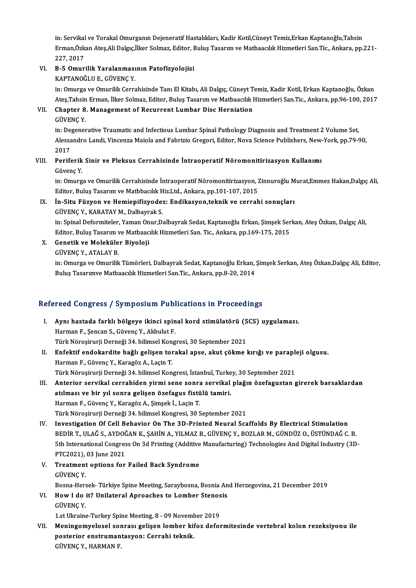in: Servikal ve Torakal Omurganın Dejeneratif Hastalıkları, Kadir Kotil,Cüneyt Temiz,Erkan Kaptanoğlu,Tahsin<br>Erman Öskan Atas Ali Dakus İlkan Salmaz, Editor, Pulus Tasarım ve Mathasalık Hirmatlari San Tis, Ankara, nn i in: Servikal ve Torakal Omurganın Dejeneratif Hastalıkları, Kadir Kotil,Cüneyt Temiz,Erkan Kaptanoğlu,Tahsin<br>Erman,Özkan Ateş,Ali Dalgıç,İlker Solmaz, Editor, Buluş Tasarım ve Matbaacılık Hizmetleri San.Tic., Ankara, pp.22 in: Servikal<br>Erman,Özk<br>227, 2017<br>B. E. Omun Erman,Özkan Ateş,Ali Dalgıç,İlker Solmaz, Editor, I<br>227, 2017<br>VI. B-5 Omurilik Yaralanmasının Patofizyolojisi<br><sup>VAPTANOČULE</sup> CÜVENC Y

## 227, 2017<br>B-5 Omurilik Yaralanması<br>KAPTANOĞLU E., GÜVENÇ Y.<br>in: Omurga ve Omurilik Cerre

KAPTANOĞLU E., GÜVENÇ Y.<br>in: Omurga ve Omurilik Cerrahisinde Tanı El Kitabı, Ali Dalgıç, Cüneyt Temiz, Kadir Kotil, Erkan Kaptanoğlu, Özkan KAPTANOĞLU E., GÜVENÇ Y.<br>in: Omurga ve Omurilik Cerrahisinde Tanı El Kitabı, Ali Dalgıç, Cüneyt Temiz, Kadir Kotil, Erkan Kaptanoğlu, Özkan<br>Ateş,Tahsin Erman, İlker Solmaz, Editor, Buluş Tasarım ve Matbaacılık Hizmetleri S

### VII. Chapter 8. Management of Recurrent Lumbar Disc Herniation<br>GÜVENC Y. Ateş,Tahsin<br>Chapter 8<br>GÜVENÇ Y.

in: Degenerative Traumatic and Infectious Lumbar Spinal Pathology Diagnosis and Treatment 2 Volume Set, GÜVENÇ Y.<br>in: Degenerative Traumatic and Infectious Lumbar Spinal Pathology Diagnosis and Treatment 2 Volume Set,<br>Alessandro Landi, Vincenza Maiola and Fabrizio Gregori, Editor, Nova Science Publishers, New-York, pp.79-90, in: De<sub>l</sub><br>Alessa<br>2017<br>Perif*e* Alessandro Landi, Vincenza Maiola and Fabrizio Gregori, Editor, Nova Science Publishers, New-<br>2017<br>VIII. Periferik Sinir ve Pleksus Cerrahisinde İntraoperatif Nöromonitirizasyon Kullanımı<br>Cüyene Y

## 2017<br>Periferik Sinir ve Pleksus Cerrahisinde İntraoperatif Nöromonitirizasyon Kullanımı<br>Güvenç Y. Periferik Sinir ve Pleksus Cerrahisinde İntraoperatif Nöromonitirizasyon Kullanımı<br>Güvenç Y.<br>in: Omurga ve Omurilik Cerrahisinde İntraoperatif Nöromonitirizasyon, Zinnuroğlu Murat,Emmez Hakan,Dalgıç Ali,<br>Editor Pulue Teser

Güvenç Y.<br>in: Omurga ve Omurilik Cerrahisinde İntraoperatif Nöromonitirizasyon, 2<br>Editor, Buluş Tasarım ve Matbbacılık Hiz.Ltd., Ankara, pp.101-107, 2015<br>İn Situ Füryen ve Hemionifizyedesı: Endikasyon teknik ve serrek Editor, Buluş Tasarım ve Matbbacılık Hiz Ltd., Ankara, pp.101-107, 2015

### IX. İn-Situ Füzyon ve Hemiepifizyodez: Endikasyon,teknik ve cerrahi sonuçları

İn-Situ Füzyon ve Hemiepifizyodez: Endikasyon,teknik ve cerrahi sonuçları<br>GÜVENÇ Y., KARATAY M., Dalbayrak S.<br>in: Spinal Deformiteler, Yaman Onur,Dalbayrak Sedat, Kaptanoğlu Erkan, Şimşek Serkan, Ateş Özkan, Dalgıç Ali,<br>Ed GÜVENÇ Y., KARATAY M., Dalbayrak S.<br>in: Spinal Deformiteler, Yaman Onur,Dalbayrak Sedat, Kaptanoğlu Erkan, Şimşek Ser<br>Editor, Buluş Tasarım ve Matbaacılık Hizmetleri San. Tic., Ankara, pp.169-175, 2015<br>Conatik ve Maleküler in: Spinal Deformiteler, Yaman On<br>Editor, Buluş Tasarım ve Matbaac<br>X. Genetik ve Moleküler Biyoloji<br>CÜVENC V. ATALAV B Editor, Buluş Tasarım ve Matbaacılık Hizmetleri San. Tic., Ankara, pp.169-175, 2015<br>X. Genetik ve Moleküler Biyoloji<br>GÜVENÇ Y., ATALAY B.

- -

Genetik ve Moleküler Biyoloji<br>GÜVENÇ Y., ATALAY B.<br>in: Omurga ve Omurilik Tümörleri, Dalbayrak Sedat, Kaptanoğlu Erkan, Şimşek Serkan, Ateş Özkan,Dalgıç Ali, Editor,<br>Pulus Tasarımye Mathaasılık Hizmetleri San Tis, Ankara, GÜVENÇ Y., ATALAY B.<br>in: Omurga ve Omurilik Tümörleri, Dalbayrak Sedat, Kaptanoğlu Erkan,<br>Buluş Tasarımve Matbaacılık Hizmetleri San.Tic., Ankara, pp.8-20, 2014

# Bulus Tasarimve Malbaaclik Hizmelleri San,Tic., Ankara, pp.8-20, 2014<br>Refereed Congress / Symposium Publications in Proceedings

- efereed Congress / Symposium Publications in Proceedings<br>I. Aynı hastada farklı bölgeye ikinci spinal kord stimülatörü (SCS) uygulaması.<br>Haynan E. Sansan S. Güyane V. Althulut E. Harman F., Şencan S., Güvenç Y., Akbulut F. Aynı hastada farklı bölgeye ikinci spinal kord stimülatörü (SCS) uygulaması.
- Harman F., Şencan S., Güvenç Y., Akbulut F.<br>Türk Nöroşirurji Derneği 34. bilimsel Kongresi, 30 September 2021<br>II. Enfektif endokardite bağlı gelişen torakal apse, akut çökme kırığı ve parapleji olgusu.<br>Harman E. Güvene Türk Nöroşirurji Derneği 34. bilimsel Kongresi, 30 September 2021<br>Enfektif endokardite bağlı gelişen torakal apse, akut çökme kırığı ve parapl<br>Harman F., Güvenç Y., Karagöz A., Laçin T.<br>Türk Nöroşirurji Derneği 34. bilimse Enfektif endokardite bağlı gelişen torakal apse, akut çökme kırığı ve paraplı<br>Harman F., Güvenç Y., Karagöz A., Laçin T.<br>Türk Nöroşirurji Derneği 34. bilimsel Kongresi, İstanbul, Turkey, 30 September 2021<br>Antarian sarvikal Harman F., Güvenç Y., Karagöz A., Laçin T.<br>Türk Nöroşirurji Derneği 34. bilimsel Kongresi, İstanbul, Turkey, 30 September 2021<br>III. Anterior servikal cerrahiden yirmi sene sonra servikal plağın özefagustan girerek barsakla
- Türk Nöroşirurji Derneği 34. bilimsel Kongresi, İstanbul, Turke<br>Anterior servikal cerrahiden yirmi sene sonra servikal<br>atılması ve bir yıl sonra gelişen özefagus fistülü tamiri.<br>Harman E. Güyene V. Karagöz A. Simsek İ. Las Anterior servikal cerrahiden yirmi sene sonra<br>atılması ve bir yıl sonra gelişen özefagus fistü<br>Harman F., Güvenç Y., Karagöz A., Şimşek İ., Laçin T.<br>Türk Nörosinurii Derneği 34 bilimsel Kongresi 30 S atılması ve bir yıl sonra gelişen özefagus fistülü tamiri.<br>Harman F., Güvenç Y., Karagöz A., Şimşek İ., Laçin T.<br>Türk Nöroşirurji Derneği 34. bilimsel Kongresi, 30 September 2021
- IV. Investigation Of Cel Behavior On The 3D-Printed Neural Scaffolds By Electrical Stimulation Türk Nöroşirurji Derneği 34. bilimsel Kongresi, 30 September 2021<br>Investigation Of Cell Behavior On The 3D-Printed Neural Scaffolds By Electrical Stimulation<br>BEDİR T., ULAĞ S., AYDOĞAN K., ŞAHİN A., YILMAZ B., GÜVENÇ Y., B Investigation Of Cell Behavior On The 3D-Printed Neural Scaffolds By Electrical Stimulation<br>BEDİR T., ULAĞ S., AYDOĞAN K., ŞAHİN A., YILMAZ B., GÜVENÇ Y., BOZLAR M., GÜNDÜZ O., ÜSTÜNDAĞ C. B.<br>5th International Congress On BEDİR T., ULAĞ S., AYDOČ<br>5th International Congres<br>PTC2021), 03 June 2021<br>Treatment entions for 5th International Congress On 3d Printing (Additive Manufacturing) Technologies And Digital Industry (3D-<br>PTC2021), 03 June 2021<br>V. Treatment options for Failed Back Syndrome<br>GÜVENC Y. PTC2021), 03 June 2021
- Treatment options for Failed Back Syndrome<br>GÜVENÇ Y.<br>Bosna-Hersek- Türkiye Spine Meeting, Saraybosna, Bosnia And Herzegovina, 21 December 2019<br>How I do.it? Unilateral Annosches to Lomber Stanesis GÜVENÇ Y.<br>Bosna-Hersek- Türkiye Spine Meeting, Saraybosna, Bosnia An<br>VI. How I do it? Unilateral Aproaches to Lomber Stenosis<br>CÜVENC V
- Bosna-Hers<br>How I do<br>GÜVENÇ Y.<br>1 et Ulresine How I do it? Unilateral Aproaches to Lomber Stenos<br>GÜVENÇ Y.<br>1.st Ukraine-Turkey Spine Meeting, 8 - 09 November 2019<br>Maningamualasel sannası gelişan lamban kifaz dafaı

GÜVENÇ Y.<br>1.st Ukraine-Turkey Spine Meeting, 8 - 09 November 2019<br>VII. Meningomyelosel sonrası gelişen lomber kifoz deformitesinde vertebral kolon rezeksiyonu ile<br>postarior anatayyonu fasyonu Carrabi takışlı 1.st Ukraine-Turkey Spine Meeting, 8 - 09 November 2019<br>Meningomyelosel sonrası gelişen lomber kifoz defo<br>posterior enstrumantasyon: Cerrahi teknik.<br>GÜVENÇ Y., HARMAN F. Meningomyelosel soı<br>posterior enstruman<br>GÜVENÇ Y., HARMAN F.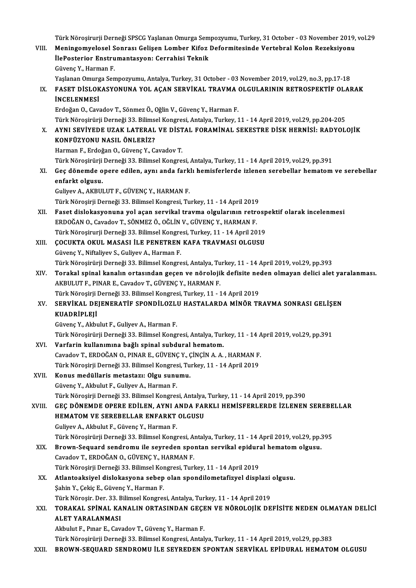| VIII.  | Türk Nöroşirurji Derneği SPSCG Yaşlanan Omurga Sempozyumu, Turkey, 31 October - 03 November 2019, vol.29<br>Meningomyelosel Sonrası Gelişen Lomber Kifoz Deformitesinde Vertebral Kolon Rezeksiyonu |
|--------|-----------------------------------------------------------------------------------------------------------------------------------------------------------------------------------------------------|
|        | İlePosterior Enstrumantasyon: Cerrahisi Teknik                                                                                                                                                      |
|        | Güvenç Y., Harman F.                                                                                                                                                                                |
|        | Yaşlanan Omurga Sempozyumu, Antalya, Turkey, 31 October - 03 November 2019, vol.29, no.3, pp.17-18                                                                                                  |
| IX.    | FASET DISLOKASYONUNA YOL AÇAN SERVIKAL TRAVMA OLGULARININ RETROSPEKTIF OLARAK                                                                                                                       |
|        | <b>INCELENMESI</b>                                                                                                                                                                                  |
|        | Erdoğan O., Cavadov T., Sönmez Ö., Oğlin V., Güvenç Y., Harman F.                                                                                                                                   |
|        |                                                                                                                                                                                                     |
|        | Türk Nöroşirürji Derneği 33. Bilimsel Kongresi, Antalya, Turkey, 11 - 14 April 2019, vol.29, pp.204-205<br>AYNI SEVİYEDE UZAK LATERAL VE DİSTAL FORAMİNAL SEKESTRE DİSK HERNİSİ: RADYOLOJİK         |
| X.     | KONFÜZYONU NASIL ÖNLERİZ?                                                                                                                                                                           |
|        | Harman F., Erdoğan O., Güvenç Y., Cavadov T.                                                                                                                                                        |
|        |                                                                                                                                                                                                     |
|        | Türk Nöroşirürji Derneği 33. Bilimsel Kongresi, Antalya, Turkey, 11 - 14 April 2019, vol.29, pp.391                                                                                                 |
| XI.    | Geç dönemde opere edilen, aynı anda farklı hemisferlerde izlenen serebellar hematom ve serebellar                                                                                                   |
|        | enfarkt olgusu                                                                                                                                                                                      |
|        | Guliyev A., AKBULUT F., GÜVENÇ Y., HARMAN F.                                                                                                                                                        |
|        | Türk Nöroşirji Derneği 33. Bilimsel Kongresi, Turkey, 11 - 14 April 2019                                                                                                                            |
| XII.   | Faset dislokasyonuna yol açan servikal travma olgularının retrospektif olarak incelenmesi<br>ERDOĞAN O., Cavadov T., SÖNMEZ Ö., OĞLİN V., GÜVENÇ Y., HARMAN F.                                      |
|        |                                                                                                                                                                                                     |
|        | Türk Nöroşirurji Derneği 33. Bilimsel Kongresi, Turkey, 11 - 14 April 2019<br>ÇOCUKTA OKUL MASASI İLE PENETREN KAFA TRAVMASI OLGUSU                                                                 |
| XIII.  |                                                                                                                                                                                                     |
|        | Güvenç Y., Niftaliyev S., Guliyev A., Harman F.<br>Türk Nöroşirürji Derneği 33. Bilimsel Kongresi, Antalya, Turkey, 11 - 14 April 2019, vol.29, pp.393                                              |
|        | Torakal spinal kanalın ortasından geçen ve nörolojik defisite neden olmayan delici alet yaralanması.                                                                                                |
| XIV.   | AKBULUT F., PINAR E., Cavadov T., GÜVENÇ Y., HARMAN F.                                                                                                                                              |
|        | Türk Nöroşirji Derneği 33. Bilimsel Kongresi, Turkey, 11 - 14 April 2019                                                                                                                            |
| XV.    | SERVİKAL DEJENERATİF SPONDİLOZLU HASTALARDA MİNÖR TRAVMA SONRASI GELİŞEN                                                                                                                            |
|        | <b>KUADRİPLEJİ</b>                                                                                                                                                                                  |
|        | Güvenç Y., Akbulut F., Guliyev A., Harman F.                                                                                                                                                        |
|        | Türk Nöroşirürji Derneği 33. Bilimsel Kongresi, Antalya, Turkey, 11 - 14 April 2019, vol.29, pp.391                                                                                                 |
| XVI.   | Varfarin kullanımına bağlı spinal subdural hematom.                                                                                                                                                 |
|        | Cavadov T., ERDOĞAN O., PINAR E., GÜVENÇ Y., ÇİNÇİN A. A., HARMAN F.                                                                                                                                |
|        | Türk Nöroşirji Derneği 33. Bilimsel Kongresi, Turkey, 11 - 14 April 2019                                                                                                                            |
| XVII.  | Konus medüllaris metastazı: Olgu sunumu.                                                                                                                                                            |
|        | Güvenç Y., Akbulut F., Guliyev A., Harman F.                                                                                                                                                        |
|        | Türk Nöroşirji Derneği 33. Bilimsel Kongresi, Antalya, Turkey, 11 - 14 April 2019, pp.390                                                                                                           |
| XVIII. | GEÇ DÖNEMDE OPERE EDİLEN, AYNI ANDA FARKLI HEMİSFERLERDE İZLENEN SEREBELLAR                                                                                                                         |
|        | HEMATOM VE SEREBELLAR ENFARKT OLGUSU                                                                                                                                                                |
|        | Guliyev A., Akbulut F., Güvenç Y., Harman F.                                                                                                                                                        |
|        | Türk Nöroşirürji Derneği 33. Bilimsel Kongresi, Antalya, Turkey, 11 - 14 April 2019, vol.29, pp.395                                                                                                 |
| XIX.   | Brown-Sequard sendromu ile seyreden spontan servikal epidural hematom olgusu.                                                                                                                       |
|        | Cavadov T, ERDOĞAN O, GÜVENÇ Y, HARMAN F.                                                                                                                                                           |
|        | Türk Nöroşirji Derneği 33. Bilimsel Kongresi, Turkey, 11 - 14 April 2019                                                                                                                            |
| XX.    | Atlantoaksiyel dislokasyona sebep olan spondilometafizyel displazi olgusu.                                                                                                                          |
|        | Şahin Y., Çekiç E., Güvenç Y., Harman F.                                                                                                                                                            |
|        | Türk Nöroşir. Der. 33. Bilimsel Kongresi, Antalya, Turkey, 11 - 14 April 2019                                                                                                                       |
| XXI.   | TORAKAL SPİNAL KANALIN ORTASINDAN GEÇEN VE NÖROLOJİK DEFİSİTE NEDEN OLMAYAN DELİCİ                                                                                                                  |
|        | ALET YARALANMASI                                                                                                                                                                                    |
|        | Akbulut F., Pinar E., Cavadov T., Güvenç Y., Harman F.                                                                                                                                              |
|        | Türk Nöroşirürji Derneği 33. Bilimsel Kongresi, Antalya, Turkey, 11 - 14 April 2019, vol.29, pp.383                                                                                                 |
| XXII.  | BROWN-SEQUARD SENDROMU İLE SEYREDEN SPONTAN SERVİKAL EPİDURAL HEMATOM OLGUSU                                                                                                                        |
|        |                                                                                                                                                                                                     |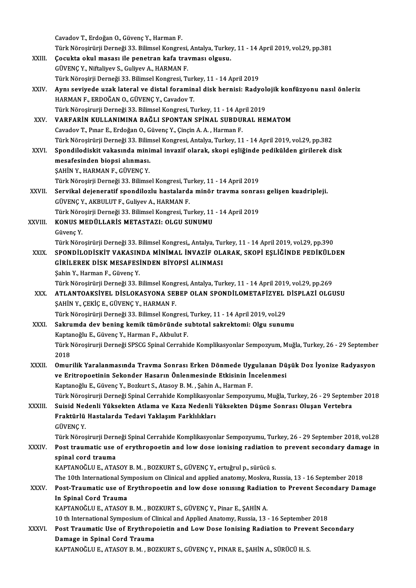| Cavadov T., Erdoğan O., Güvenç Y., Harman F.<br>Türk Nöroşirürji Derneği 33. Bilimsel Kongresi, Antalya, Turkey, 11 - 14 April 2019, vol.29, pp.381<br>Çocukta okul masası ile penetran kafa travması olgusu.<br>XXIII.<br>GÜVENÇ Y., Niftaliyev S., Guliyev A., HARMAN F.<br>Türk Nöroşirji Derneği 33. Bilimsel Kongresi, Turkey, 11 - 14 April 2019<br>XXIV.<br>HARMAN F., ERDOĞAN O., GÜVENÇ Y., Cavadov T.<br>Türk Nöroşirurji Derneği 33. Bilimsel Kongresi, Turkey, 11 - 14 April 2019<br>VARFARİN KULLANIMINA BAĞLI SPONTAN SPİNAL SUBDURAL HEMATOM<br>XXV.<br>Cavadov T., Pınar E., Erdoğan O., Güvenç Y., Çinçin A. A., Harman F.<br>Türk Nöroşirürji Derneği 33. Bilimsel Kongresi, Antalya, Turkey, 11 - 14 April 2019, vol.29, pp.382<br>Spondilodiskit vakasında minimal invazif olarak, skopi eşliğinde pedikülden girilerek disk<br>XXVI.<br>mesafesinden biopsi alınması.<br>ŞAHİN Y., HARMAN F., GÜVENÇ Y.<br>Türk Nöroşirji Derneği 33. Bilimsel Kongresi, Turkey, 11 - 14 April 2019<br>Servikal dejeneratif spondilozlu hastalarda minör travma sonrası gelişen kuadripleji.<br>XXVII.<br>GÜVENÇ Y., AKBULUT F., Guliyev A., HARMAN F.<br>Türk Nöroşirji Derneği 33. Bilimsel Kongresi, Turkey, 11 - 14 April 2019<br>KONUS MEDÜLLARİS METASTAZI: OLGU SUNUMU<br>Güvenç Y.<br>Türk Nöroşirürji Derneği 33. Bilimsel Kongresi,, Antalya, Turkey, 11 - 14 April 2019, vol.29, pp.390<br>SPONDİLODİSKİT VAKASINDA MİNİMAL İNVAZİF OLARAK, SKOPİ EŞLİĞİNDE PEDİKÜLDEN<br>XXIX.<br>GIRILEREK DISK MESAFESINDEN BIYOPSI ALINMASI<br>Şahin Y., Harman F., Güvenç Y.<br>Türk Nöroşirürji Derneği 33. Bilimsel Kongresi, Antalya, Turkey, 11 - 14 April 2019, vol.29, pp.269<br>ATLANTOAKSIYEL DISLOKASYONA SEBEP OLAN SPONDILOMETAFIZYEL DISPLAZI OLGUSU<br>XXX.<br>SAHIN Y, CEKİÇ E, GÜVENÇ Y, HARMAN F.<br>Türk Nöroşirürji Derneği 33. Bilimsel Kongresi, Turkey, 11 - 14 April 2019, vol.29<br>Sakrumda dev bening kemik tümöründe subtotal sakrektomi: Olgu sunumu<br><b>XXXI</b><br>Kaptanoğlu E., Güvenç Y., Harman F., Akbulut F.<br>Türk Nöroşirurji Derneği SPSCG Spinal Cerrahide Komplikasyonlar Sempozyum, Muğla, Turkey, 26 - 29 September<br>2018<br>Omurilik Yaralanmasında Travma Sonrası Erken Dönmede Uygulanan Düşük Doz İyonize Radyasyon<br>XXXII.<br>ve Eritropoetinin Sekonder Hasarın Önlenmesinde Etkisinin İncelenmesi<br>Kaptanoğlu E., Güvenç Y., Bozkurt S., Atasoy B. M., Şahin A., Harman F.<br>Suisid Nedenli Yüksekten Atlama ve Kaza Nedenli Yüksekten Düşme Sonrası Oluşan Vertebra<br>Fraktürlü Hastalarda Tedavi Yaklaşım Farklılıkları<br><b>GÜVENÇ Y</b><br>spinal cord trauma<br>KAPTANOĞLU E., ATASOY B. M., BOZKURT S., GÜVENÇ Y., ertuğrul p., sürücü s.<br><b>XXXV</b><br>In Spinal Cord Trauma<br>KAPTANOĞLU E., ATASOY B. M., BOZKURT S., GÜVENÇ Y., Pinar E., ŞAHİN A.<br>10 th International Symposium of Clinical and Applied Anatomy, Russia, 13 - 16 September 2018<br>Post Traumatic Use of Erythropoietin and Low Dose Ionising Radiation to Prevent Secondary<br>Damage in Spinal Cord Trauma<br>KAPTANOĞLU E., ATASOY B. M., BOZKURT S., GÜVENÇ Y., PINAR E., ŞAHİN A., SÜRÜCÜ H. S. |                                                                                                              |
|-----------------------------------------------------------------------------------------------------------------------------------------------------------------------------------------------------------------------------------------------------------------------------------------------------------------------------------------------------------------------------------------------------------------------------------------------------------------------------------------------------------------------------------------------------------------------------------------------------------------------------------------------------------------------------------------------------------------------------------------------------------------------------------------------------------------------------------------------------------------------------------------------------------------------------------------------------------------------------------------------------------------------------------------------------------------------------------------------------------------------------------------------------------------------------------------------------------------------------------------------------------------------------------------------------------------------------------------------------------------------------------------------------------------------------------------------------------------------------------------------------------------------------------------------------------------------------------------------------------------------------------------------------------------------------------------------------------------------------------------------------------------------------------------------------------------------------------------------------------------------------------------------------------------------------------------------------------------------------------------------------------------------------------------------------------------------------------------------------------------------------------------------------------------------------------------------------------------------------------------------------------------------------------------------------------------------------------------------------------------------------------------------------------------------------------------------------------------------------------------------------------------------------------------------------------------------------------------------------------------------------------------------------------------------------------------------------------------------------------------------------------------------------------------------------------------------------------------------------------------------------------------------------------------------------------------------------------------------------------------------------------------------------------------------------------------------------------------------------------------------------------------------------------|--------------------------------------------------------------------------------------------------------------|
|                                                                                                                                                                                                                                                                                                                                                                                                                                                                                                                                                                                                                                                                                                                                                                                                                                                                                                                                                                                                                                                                                                                                                                                                                                                                                                                                                                                                                                                                                                                                                                                                                                                                                                                                                                                                                                                                                                                                                                                                                                                                                                                                                                                                                                                                                                                                                                                                                                                                                                                                                                                                                                                                                                                                                                                                                                                                                                                                                                                                                                                                                                                                                           |                                                                                                              |
|                                                                                                                                                                                                                                                                                                                                                                                                                                                                                                                                                                                                                                                                                                                                                                                                                                                                                                                                                                                                                                                                                                                                                                                                                                                                                                                                                                                                                                                                                                                                                                                                                                                                                                                                                                                                                                                                                                                                                                                                                                                                                                                                                                                                                                                                                                                                                                                                                                                                                                                                                                                                                                                                                                                                                                                                                                                                                                                                                                                                                                                                                                                                                           |                                                                                                              |
|                                                                                                                                                                                                                                                                                                                                                                                                                                                                                                                                                                                                                                                                                                                                                                                                                                                                                                                                                                                                                                                                                                                                                                                                                                                                                                                                                                                                                                                                                                                                                                                                                                                                                                                                                                                                                                                                                                                                                                                                                                                                                                                                                                                                                                                                                                                                                                                                                                                                                                                                                                                                                                                                                                                                                                                                                                                                                                                                                                                                                                                                                                                                                           |                                                                                                              |
|                                                                                                                                                                                                                                                                                                                                                                                                                                                                                                                                                                                                                                                                                                                                                                                                                                                                                                                                                                                                                                                                                                                                                                                                                                                                                                                                                                                                                                                                                                                                                                                                                                                                                                                                                                                                                                                                                                                                                                                                                                                                                                                                                                                                                                                                                                                                                                                                                                                                                                                                                                                                                                                                                                                                                                                                                                                                                                                                                                                                                                                                                                                                                           |                                                                                                              |
| XXVIII.<br>XXXIII.<br><b>XXXIV</b><br>XXXVI.                                                                                                                                                                                                                                                                                                                                                                                                                                                                                                                                                                                                                                                                                                                                                                                                                                                                                                                                                                                                                                                                                                                                                                                                                                                                                                                                                                                                                                                                                                                                                                                                                                                                                                                                                                                                                                                                                                                                                                                                                                                                                                                                                                                                                                                                                                                                                                                                                                                                                                                                                                                                                                                                                                                                                                                                                                                                                                                                                                                                                                                                                                              |                                                                                                              |
|                                                                                                                                                                                                                                                                                                                                                                                                                                                                                                                                                                                                                                                                                                                                                                                                                                                                                                                                                                                                                                                                                                                                                                                                                                                                                                                                                                                                                                                                                                                                                                                                                                                                                                                                                                                                                                                                                                                                                                                                                                                                                                                                                                                                                                                                                                                                                                                                                                                                                                                                                                                                                                                                                                                                                                                                                                                                                                                                                                                                                                                                                                                                                           | Aynı seviyede uzak lateral ve distal foraminal disk hernisi: Radyolojik konfüzyonu nasıl önleriz             |
|                                                                                                                                                                                                                                                                                                                                                                                                                                                                                                                                                                                                                                                                                                                                                                                                                                                                                                                                                                                                                                                                                                                                                                                                                                                                                                                                                                                                                                                                                                                                                                                                                                                                                                                                                                                                                                                                                                                                                                                                                                                                                                                                                                                                                                                                                                                                                                                                                                                                                                                                                                                                                                                                                                                                                                                                                                                                                                                                                                                                                                                                                                                                                           |                                                                                                              |
|                                                                                                                                                                                                                                                                                                                                                                                                                                                                                                                                                                                                                                                                                                                                                                                                                                                                                                                                                                                                                                                                                                                                                                                                                                                                                                                                                                                                                                                                                                                                                                                                                                                                                                                                                                                                                                                                                                                                                                                                                                                                                                                                                                                                                                                                                                                                                                                                                                                                                                                                                                                                                                                                                                                                                                                                                                                                                                                                                                                                                                                                                                                                                           |                                                                                                              |
|                                                                                                                                                                                                                                                                                                                                                                                                                                                                                                                                                                                                                                                                                                                                                                                                                                                                                                                                                                                                                                                                                                                                                                                                                                                                                                                                                                                                                                                                                                                                                                                                                                                                                                                                                                                                                                                                                                                                                                                                                                                                                                                                                                                                                                                                                                                                                                                                                                                                                                                                                                                                                                                                                                                                                                                                                                                                                                                                                                                                                                                                                                                                                           |                                                                                                              |
|                                                                                                                                                                                                                                                                                                                                                                                                                                                                                                                                                                                                                                                                                                                                                                                                                                                                                                                                                                                                                                                                                                                                                                                                                                                                                                                                                                                                                                                                                                                                                                                                                                                                                                                                                                                                                                                                                                                                                                                                                                                                                                                                                                                                                                                                                                                                                                                                                                                                                                                                                                                                                                                                                                                                                                                                                                                                                                                                                                                                                                                                                                                                                           |                                                                                                              |
|                                                                                                                                                                                                                                                                                                                                                                                                                                                                                                                                                                                                                                                                                                                                                                                                                                                                                                                                                                                                                                                                                                                                                                                                                                                                                                                                                                                                                                                                                                                                                                                                                                                                                                                                                                                                                                                                                                                                                                                                                                                                                                                                                                                                                                                                                                                                                                                                                                                                                                                                                                                                                                                                                                                                                                                                                                                                                                                                                                                                                                                                                                                                                           |                                                                                                              |
|                                                                                                                                                                                                                                                                                                                                                                                                                                                                                                                                                                                                                                                                                                                                                                                                                                                                                                                                                                                                                                                                                                                                                                                                                                                                                                                                                                                                                                                                                                                                                                                                                                                                                                                                                                                                                                                                                                                                                                                                                                                                                                                                                                                                                                                                                                                                                                                                                                                                                                                                                                                                                                                                                                                                                                                                                                                                                                                                                                                                                                                                                                                                                           |                                                                                                              |
|                                                                                                                                                                                                                                                                                                                                                                                                                                                                                                                                                                                                                                                                                                                                                                                                                                                                                                                                                                                                                                                                                                                                                                                                                                                                                                                                                                                                                                                                                                                                                                                                                                                                                                                                                                                                                                                                                                                                                                                                                                                                                                                                                                                                                                                                                                                                                                                                                                                                                                                                                                                                                                                                                                                                                                                                                                                                                                                                                                                                                                                                                                                                                           |                                                                                                              |
|                                                                                                                                                                                                                                                                                                                                                                                                                                                                                                                                                                                                                                                                                                                                                                                                                                                                                                                                                                                                                                                                                                                                                                                                                                                                                                                                                                                                                                                                                                                                                                                                                                                                                                                                                                                                                                                                                                                                                                                                                                                                                                                                                                                                                                                                                                                                                                                                                                                                                                                                                                                                                                                                                                                                                                                                                                                                                                                                                                                                                                                                                                                                                           |                                                                                                              |
|                                                                                                                                                                                                                                                                                                                                                                                                                                                                                                                                                                                                                                                                                                                                                                                                                                                                                                                                                                                                                                                                                                                                                                                                                                                                                                                                                                                                                                                                                                                                                                                                                                                                                                                                                                                                                                                                                                                                                                                                                                                                                                                                                                                                                                                                                                                                                                                                                                                                                                                                                                                                                                                                                                                                                                                                                                                                                                                                                                                                                                                                                                                                                           |                                                                                                              |
|                                                                                                                                                                                                                                                                                                                                                                                                                                                                                                                                                                                                                                                                                                                                                                                                                                                                                                                                                                                                                                                                                                                                                                                                                                                                                                                                                                                                                                                                                                                                                                                                                                                                                                                                                                                                                                                                                                                                                                                                                                                                                                                                                                                                                                                                                                                                                                                                                                                                                                                                                                                                                                                                                                                                                                                                                                                                                                                                                                                                                                                                                                                                                           |                                                                                                              |
|                                                                                                                                                                                                                                                                                                                                                                                                                                                                                                                                                                                                                                                                                                                                                                                                                                                                                                                                                                                                                                                                                                                                                                                                                                                                                                                                                                                                                                                                                                                                                                                                                                                                                                                                                                                                                                                                                                                                                                                                                                                                                                                                                                                                                                                                                                                                                                                                                                                                                                                                                                                                                                                                                                                                                                                                                                                                                                                                                                                                                                                                                                                                                           |                                                                                                              |
|                                                                                                                                                                                                                                                                                                                                                                                                                                                                                                                                                                                                                                                                                                                                                                                                                                                                                                                                                                                                                                                                                                                                                                                                                                                                                                                                                                                                                                                                                                                                                                                                                                                                                                                                                                                                                                                                                                                                                                                                                                                                                                                                                                                                                                                                                                                                                                                                                                                                                                                                                                                                                                                                                                                                                                                                                                                                                                                                                                                                                                                                                                                                                           |                                                                                                              |
|                                                                                                                                                                                                                                                                                                                                                                                                                                                                                                                                                                                                                                                                                                                                                                                                                                                                                                                                                                                                                                                                                                                                                                                                                                                                                                                                                                                                                                                                                                                                                                                                                                                                                                                                                                                                                                                                                                                                                                                                                                                                                                                                                                                                                                                                                                                                                                                                                                                                                                                                                                                                                                                                                                                                                                                                                                                                                                                                                                                                                                                                                                                                                           |                                                                                                              |
|                                                                                                                                                                                                                                                                                                                                                                                                                                                                                                                                                                                                                                                                                                                                                                                                                                                                                                                                                                                                                                                                                                                                                                                                                                                                                                                                                                                                                                                                                                                                                                                                                                                                                                                                                                                                                                                                                                                                                                                                                                                                                                                                                                                                                                                                                                                                                                                                                                                                                                                                                                                                                                                                                                                                                                                                                                                                                                                                                                                                                                                                                                                                                           |                                                                                                              |
|                                                                                                                                                                                                                                                                                                                                                                                                                                                                                                                                                                                                                                                                                                                                                                                                                                                                                                                                                                                                                                                                                                                                                                                                                                                                                                                                                                                                                                                                                                                                                                                                                                                                                                                                                                                                                                                                                                                                                                                                                                                                                                                                                                                                                                                                                                                                                                                                                                                                                                                                                                                                                                                                                                                                                                                                                                                                                                                                                                                                                                                                                                                                                           |                                                                                                              |
|                                                                                                                                                                                                                                                                                                                                                                                                                                                                                                                                                                                                                                                                                                                                                                                                                                                                                                                                                                                                                                                                                                                                                                                                                                                                                                                                                                                                                                                                                                                                                                                                                                                                                                                                                                                                                                                                                                                                                                                                                                                                                                                                                                                                                                                                                                                                                                                                                                                                                                                                                                                                                                                                                                                                                                                                                                                                                                                                                                                                                                                                                                                                                           |                                                                                                              |
|                                                                                                                                                                                                                                                                                                                                                                                                                                                                                                                                                                                                                                                                                                                                                                                                                                                                                                                                                                                                                                                                                                                                                                                                                                                                                                                                                                                                                                                                                                                                                                                                                                                                                                                                                                                                                                                                                                                                                                                                                                                                                                                                                                                                                                                                                                                                                                                                                                                                                                                                                                                                                                                                                                                                                                                                                                                                                                                                                                                                                                                                                                                                                           |                                                                                                              |
|                                                                                                                                                                                                                                                                                                                                                                                                                                                                                                                                                                                                                                                                                                                                                                                                                                                                                                                                                                                                                                                                                                                                                                                                                                                                                                                                                                                                                                                                                                                                                                                                                                                                                                                                                                                                                                                                                                                                                                                                                                                                                                                                                                                                                                                                                                                                                                                                                                                                                                                                                                                                                                                                                                                                                                                                                                                                                                                                                                                                                                                                                                                                                           |                                                                                                              |
|                                                                                                                                                                                                                                                                                                                                                                                                                                                                                                                                                                                                                                                                                                                                                                                                                                                                                                                                                                                                                                                                                                                                                                                                                                                                                                                                                                                                                                                                                                                                                                                                                                                                                                                                                                                                                                                                                                                                                                                                                                                                                                                                                                                                                                                                                                                                                                                                                                                                                                                                                                                                                                                                                                                                                                                                                                                                                                                                                                                                                                                                                                                                                           |                                                                                                              |
|                                                                                                                                                                                                                                                                                                                                                                                                                                                                                                                                                                                                                                                                                                                                                                                                                                                                                                                                                                                                                                                                                                                                                                                                                                                                                                                                                                                                                                                                                                                                                                                                                                                                                                                                                                                                                                                                                                                                                                                                                                                                                                                                                                                                                                                                                                                                                                                                                                                                                                                                                                                                                                                                                                                                                                                                                                                                                                                                                                                                                                                                                                                                                           |                                                                                                              |
|                                                                                                                                                                                                                                                                                                                                                                                                                                                                                                                                                                                                                                                                                                                                                                                                                                                                                                                                                                                                                                                                                                                                                                                                                                                                                                                                                                                                                                                                                                                                                                                                                                                                                                                                                                                                                                                                                                                                                                                                                                                                                                                                                                                                                                                                                                                                                                                                                                                                                                                                                                                                                                                                                                                                                                                                                                                                                                                                                                                                                                                                                                                                                           |                                                                                                              |
|                                                                                                                                                                                                                                                                                                                                                                                                                                                                                                                                                                                                                                                                                                                                                                                                                                                                                                                                                                                                                                                                                                                                                                                                                                                                                                                                                                                                                                                                                                                                                                                                                                                                                                                                                                                                                                                                                                                                                                                                                                                                                                                                                                                                                                                                                                                                                                                                                                                                                                                                                                                                                                                                                                                                                                                                                                                                                                                                                                                                                                                                                                                                                           |                                                                                                              |
|                                                                                                                                                                                                                                                                                                                                                                                                                                                                                                                                                                                                                                                                                                                                                                                                                                                                                                                                                                                                                                                                                                                                                                                                                                                                                                                                                                                                                                                                                                                                                                                                                                                                                                                                                                                                                                                                                                                                                                                                                                                                                                                                                                                                                                                                                                                                                                                                                                                                                                                                                                                                                                                                                                                                                                                                                                                                                                                                                                                                                                                                                                                                                           |                                                                                                              |
|                                                                                                                                                                                                                                                                                                                                                                                                                                                                                                                                                                                                                                                                                                                                                                                                                                                                                                                                                                                                                                                                                                                                                                                                                                                                                                                                                                                                                                                                                                                                                                                                                                                                                                                                                                                                                                                                                                                                                                                                                                                                                                                                                                                                                                                                                                                                                                                                                                                                                                                                                                                                                                                                                                                                                                                                                                                                                                                                                                                                                                                                                                                                                           |                                                                                                              |
|                                                                                                                                                                                                                                                                                                                                                                                                                                                                                                                                                                                                                                                                                                                                                                                                                                                                                                                                                                                                                                                                                                                                                                                                                                                                                                                                                                                                                                                                                                                                                                                                                                                                                                                                                                                                                                                                                                                                                                                                                                                                                                                                                                                                                                                                                                                                                                                                                                                                                                                                                                                                                                                                                                                                                                                                                                                                                                                                                                                                                                                                                                                                                           |                                                                                                              |
|                                                                                                                                                                                                                                                                                                                                                                                                                                                                                                                                                                                                                                                                                                                                                                                                                                                                                                                                                                                                                                                                                                                                                                                                                                                                                                                                                                                                                                                                                                                                                                                                                                                                                                                                                                                                                                                                                                                                                                                                                                                                                                                                                                                                                                                                                                                                                                                                                                                                                                                                                                                                                                                                                                                                                                                                                                                                                                                                                                                                                                                                                                                                                           |                                                                                                              |
|                                                                                                                                                                                                                                                                                                                                                                                                                                                                                                                                                                                                                                                                                                                                                                                                                                                                                                                                                                                                                                                                                                                                                                                                                                                                                                                                                                                                                                                                                                                                                                                                                                                                                                                                                                                                                                                                                                                                                                                                                                                                                                                                                                                                                                                                                                                                                                                                                                                                                                                                                                                                                                                                                                                                                                                                                                                                                                                                                                                                                                                                                                                                                           |                                                                                                              |
|                                                                                                                                                                                                                                                                                                                                                                                                                                                                                                                                                                                                                                                                                                                                                                                                                                                                                                                                                                                                                                                                                                                                                                                                                                                                                                                                                                                                                                                                                                                                                                                                                                                                                                                                                                                                                                                                                                                                                                                                                                                                                                                                                                                                                                                                                                                                                                                                                                                                                                                                                                                                                                                                                                                                                                                                                                                                                                                                                                                                                                                                                                                                                           |                                                                                                              |
|                                                                                                                                                                                                                                                                                                                                                                                                                                                                                                                                                                                                                                                                                                                                                                                                                                                                                                                                                                                                                                                                                                                                                                                                                                                                                                                                                                                                                                                                                                                                                                                                                                                                                                                                                                                                                                                                                                                                                                                                                                                                                                                                                                                                                                                                                                                                                                                                                                                                                                                                                                                                                                                                                                                                                                                                                                                                                                                                                                                                                                                                                                                                                           | Türk Nöroşirurji Derneği Spinal Cerrahide Komplikasyonlar Sempozyumu, Muğla, Turkey, 26 - 29 September 2018  |
|                                                                                                                                                                                                                                                                                                                                                                                                                                                                                                                                                                                                                                                                                                                                                                                                                                                                                                                                                                                                                                                                                                                                                                                                                                                                                                                                                                                                                                                                                                                                                                                                                                                                                                                                                                                                                                                                                                                                                                                                                                                                                                                                                                                                                                                                                                                                                                                                                                                                                                                                                                                                                                                                                                                                                                                                                                                                                                                                                                                                                                                                                                                                                           |                                                                                                              |
|                                                                                                                                                                                                                                                                                                                                                                                                                                                                                                                                                                                                                                                                                                                                                                                                                                                                                                                                                                                                                                                                                                                                                                                                                                                                                                                                                                                                                                                                                                                                                                                                                                                                                                                                                                                                                                                                                                                                                                                                                                                                                                                                                                                                                                                                                                                                                                                                                                                                                                                                                                                                                                                                                                                                                                                                                                                                                                                                                                                                                                                                                                                                                           |                                                                                                              |
|                                                                                                                                                                                                                                                                                                                                                                                                                                                                                                                                                                                                                                                                                                                                                                                                                                                                                                                                                                                                                                                                                                                                                                                                                                                                                                                                                                                                                                                                                                                                                                                                                                                                                                                                                                                                                                                                                                                                                                                                                                                                                                                                                                                                                                                                                                                                                                                                                                                                                                                                                                                                                                                                                                                                                                                                                                                                                                                                                                                                                                                                                                                                                           |                                                                                                              |
|                                                                                                                                                                                                                                                                                                                                                                                                                                                                                                                                                                                                                                                                                                                                                                                                                                                                                                                                                                                                                                                                                                                                                                                                                                                                                                                                                                                                                                                                                                                                                                                                                                                                                                                                                                                                                                                                                                                                                                                                                                                                                                                                                                                                                                                                                                                                                                                                                                                                                                                                                                                                                                                                                                                                                                                                                                                                                                                                                                                                                                                                                                                                                           | Türk Nöroşirurji Derneği Spinal Cerrahide Komplikasyonlar Sempozyumu, Turkey, 26 - 29 September 2018, vol.28 |
|                                                                                                                                                                                                                                                                                                                                                                                                                                                                                                                                                                                                                                                                                                                                                                                                                                                                                                                                                                                                                                                                                                                                                                                                                                                                                                                                                                                                                                                                                                                                                                                                                                                                                                                                                                                                                                                                                                                                                                                                                                                                                                                                                                                                                                                                                                                                                                                                                                                                                                                                                                                                                                                                                                                                                                                                                                                                                                                                                                                                                                                                                                                                                           | Post traumatic use of erythropoetin and low dose ionising radiation to prevent secondary damage in           |
|                                                                                                                                                                                                                                                                                                                                                                                                                                                                                                                                                                                                                                                                                                                                                                                                                                                                                                                                                                                                                                                                                                                                                                                                                                                                                                                                                                                                                                                                                                                                                                                                                                                                                                                                                                                                                                                                                                                                                                                                                                                                                                                                                                                                                                                                                                                                                                                                                                                                                                                                                                                                                                                                                                                                                                                                                                                                                                                                                                                                                                                                                                                                                           |                                                                                                              |
|                                                                                                                                                                                                                                                                                                                                                                                                                                                                                                                                                                                                                                                                                                                                                                                                                                                                                                                                                                                                                                                                                                                                                                                                                                                                                                                                                                                                                                                                                                                                                                                                                                                                                                                                                                                                                                                                                                                                                                                                                                                                                                                                                                                                                                                                                                                                                                                                                                                                                                                                                                                                                                                                                                                                                                                                                                                                                                                                                                                                                                                                                                                                                           |                                                                                                              |
|                                                                                                                                                                                                                                                                                                                                                                                                                                                                                                                                                                                                                                                                                                                                                                                                                                                                                                                                                                                                                                                                                                                                                                                                                                                                                                                                                                                                                                                                                                                                                                                                                                                                                                                                                                                                                                                                                                                                                                                                                                                                                                                                                                                                                                                                                                                                                                                                                                                                                                                                                                                                                                                                                                                                                                                                                                                                                                                                                                                                                                                                                                                                                           | The 10th International Symposium on Clinical and applied anatomy, Moskva, Russia, 13 - 16 September 2018     |
|                                                                                                                                                                                                                                                                                                                                                                                                                                                                                                                                                                                                                                                                                                                                                                                                                                                                                                                                                                                                                                                                                                                                                                                                                                                                                                                                                                                                                                                                                                                                                                                                                                                                                                                                                                                                                                                                                                                                                                                                                                                                                                                                                                                                                                                                                                                                                                                                                                                                                                                                                                                                                                                                                                                                                                                                                                                                                                                                                                                                                                                                                                                                                           | Post-Traumatic use of Erythropoetin and low dose ionising Radiation to Prevent Secondary Damage              |
|                                                                                                                                                                                                                                                                                                                                                                                                                                                                                                                                                                                                                                                                                                                                                                                                                                                                                                                                                                                                                                                                                                                                                                                                                                                                                                                                                                                                                                                                                                                                                                                                                                                                                                                                                                                                                                                                                                                                                                                                                                                                                                                                                                                                                                                                                                                                                                                                                                                                                                                                                                                                                                                                                                                                                                                                                                                                                                                                                                                                                                                                                                                                                           |                                                                                                              |
|                                                                                                                                                                                                                                                                                                                                                                                                                                                                                                                                                                                                                                                                                                                                                                                                                                                                                                                                                                                                                                                                                                                                                                                                                                                                                                                                                                                                                                                                                                                                                                                                                                                                                                                                                                                                                                                                                                                                                                                                                                                                                                                                                                                                                                                                                                                                                                                                                                                                                                                                                                                                                                                                                                                                                                                                                                                                                                                                                                                                                                                                                                                                                           |                                                                                                              |
|                                                                                                                                                                                                                                                                                                                                                                                                                                                                                                                                                                                                                                                                                                                                                                                                                                                                                                                                                                                                                                                                                                                                                                                                                                                                                                                                                                                                                                                                                                                                                                                                                                                                                                                                                                                                                                                                                                                                                                                                                                                                                                                                                                                                                                                                                                                                                                                                                                                                                                                                                                                                                                                                                                                                                                                                                                                                                                                                                                                                                                                                                                                                                           |                                                                                                              |
|                                                                                                                                                                                                                                                                                                                                                                                                                                                                                                                                                                                                                                                                                                                                                                                                                                                                                                                                                                                                                                                                                                                                                                                                                                                                                                                                                                                                                                                                                                                                                                                                                                                                                                                                                                                                                                                                                                                                                                                                                                                                                                                                                                                                                                                                                                                                                                                                                                                                                                                                                                                                                                                                                                                                                                                                                                                                                                                                                                                                                                                                                                                                                           |                                                                                                              |
|                                                                                                                                                                                                                                                                                                                                                                                                                                                                                                                                                                                                                                                                                                                                                                                                                                                                                                                                                                                                                                                                                                                                                                                                                                                                                                                                                                                                                                                                                                                                                                                                                                                                                                                                                                                                                                                                                                                                                                                                                                                                                                                                                                                                                                                                                                                                                                                                                                                                                                                                                                                                                                                                                                                                                                                                                                                                                                                                                                                                                                                                                                                                                           |                                                                                                              |
|                                                                                                                                                                                                                                                                                                                                                                                                                                                                                                                                                                                                                                                                                                                                                                                                                                                                                                                                                                                                                                                                                                                                                                                                                                                                                                                                                                                                                                                                                                                                                                                                                                                                                                                                                                                                                                                                                                                                                                                                                                                                                                                                                                                                                                                                                                                                                                                                                                                                                                                                                                                                                                                                                                                                                                                                                                                                                                                                                                                                                                                                                                                                                           |                                                                                                              |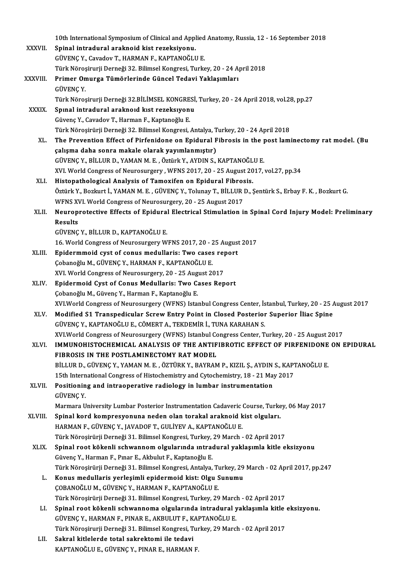|              | 10th International Symposium of Clinical and Applied Anatomy, Russia, 12 - 16 September 2018                                                            |
|--------------|---------------------------------------------------------------------------------------------------------------------------------------------------------|
| XXXVII.      | Spinal intradural araknoid kist rezeksiyonu.                                                                                                            |
|              | GÜVENÇ Y., Cavadov T., HARMAN F., KAPTANOĞLU E.                                                                                                         |
|              | Türk Nöroşirurji Derneği 32. Bilimsel Kongresi, Turkey, 20 - 24 April 2018                                                                              |
| XXXVIII.     | Primer Omurga Tümörlerinde Güncel Tedavi Yaklaşımları                                                                                                   |
|              | <b>GÜVENÇ Y</b>                                                                                                                                         |
|              | Türk Nöroşirurji Derneği 32.BİLİMSEL KONGRESİ, Turkey, 20 - 24 April 2018, vol.28, pp.27                                                                |
| <b>XXXIX</b> | Spinal intradural araknoid kist rezeksiyonu                                                                                                             |
|              | Güvenç Y., Cavadov T., Harman F., Kaptanoğlu E.                                                                                                         |
|              | Türk Nöroşirürji Derneği 32. Bilimsel Kongresi, Antalya, Turkey, 20 - 24 April 2018                                                                     |
| XL.          | The Prevention Effect of Pirfenidone on Epidural Fibrosis in the post laminectomy rat model. (Bu                                                        |
|              | çalışma daha sonra makale olarak yayımlanmıştır)                                                                                                        |
|              | GÜVENÇ Y., BİLLUR D., YAMAN M. E., Öztürk Y., AYDIN S., KAPTANOĞLU E.                                                                                   |
|              | XVI. World Congress of Neurosurgery, WFNS 2017, 20 - 25 August 2017, vol.27, pp.34                                                                      |
| XLI.         | Histopathological Analysis of Tamoxifen on Epidural Fibrosis.                                                                                           |
|              | Öztürk Y., Bozkurt İ., YAMAN M. E., GÜVENÇ Y., Tolunay T., BİLLUR D., Şentürk S., Erbay F. K., Bozkurt G.                                               |
|              | WFNS XVI. World Congress of Neurosurgery, 20 - 25 August 2017                                                                                           |
| XLII.        | Neuroprotective Effects of Epidural Electrical Stimulation in Spinal Cord Injury Model: Preliminary                                                     |
|              | Results                                                                                                                                                 |
|              | GÜVENÇ Y, BİLLUR D, KAPTANOĞLU E.                                                                                                                       |
|              | 16. World Congress of Neurosurgery WFNS 2017, 20 - 25 August 2017                                                                                       |
| XLIII.       | Epidermmoid cyst of conus medullaris: Two cases report                                                                                                  |
|              | Çobanoğlu M., GÜVENÇ Y., HARMAN F., KAPTANOĞLU E.                                                                                                       |
|              | XVI. World Congress of Neurosurgery, 20 - 25 August 2017                                                                                                |
| XLIV.        | Epidermoid Cyst of Conus Medullaris: Two Cases Report                                                                                                   |
|              | Çobanoğlu M., Güvenç Y., Harman F., Kaptanoğlu E.                                                                                                       |
|              | XVI.World Congress of Neurosurgery (WFNS) Istanbul Congress Center, İstanbul, Turkey, 20 - 25 August 2017                                               |
| XLV.         | Modified S1 Transpedicular Screw Entry Point in Closed Posterior Superior İliac Spine                                                                   |
|              | GÜVENC Y., KAPTANOĞLU E., CÖMERT A., TEKDEMİR İ., TUNA KARAHAN S.                                                                                       |
|              | XVI.World Congress of Neurosurgery (WFNS) Istanbul Congress Center, Turkey, 20 - 25 August 2017                                                         |
| XLVI.        | IMMUNOHISTOCHEMICAL ANALYSIS OF THE ANTIFIBROTIC EFFECT OF PIRFENIDONE ON EPIDURAL                                                                      |
|              | FIBROSIS IN THE POSTLAMINECTOMY RAT MODEL                                                                                                               |
|              | BİLLUR D., GÜVENÇ Y., YAMAN M. E., ÖZTÜRK Y., BAYRAM P., KIZIL Ş., AYDIN S., KAPTANOĞLU E.                                                              |
| XLVII.       | 15th International Congress of Histochemistry and Cytochemistry, 18 - 21 May 2017<br>Positioning and intraoperative radiology in lumbar instrumentation |
|              | <b>GÜVENÇY</b>                                                                                                                                          |
|              | Marmara University Lumbar Posterior Instrumentation Cadaveric Course, Turkey, 06 May 2017                                                               |
| XLVIII.      | Spinal kord kompresyonuna neden olan torakal araknoid kist olguları.                                                                                    |
|              | HARMAN F., GÜVENÇ Y., JAVADOF T., GULİYEV A., KAPTANOĞLU E.                                                                                             |
|              | Türk Nöroşirürji Derneği 31. Bilimsel Kongresi, Turkey, 29 March - 02 April 2017                                                                        |
| XLIX.        | Spinal root kökenli schwannom olgularında ıntradural yaklaşımla kitle eksizyonu                                                                         |
|              | Güvenç Y., Harman F., Pınar E., Akbulut F., Kaptanoğlu E.                                                                                               |
|              | Türk Nöroşirürji Derneği 31. Bilimsel Kongresi, Antalya, Turkey, 29 March - 02 April 2017, pp.247                                                       |
| L.           | Konus medullaris yerleşimli epidermoid kist: Olgu Sunumu                                                                                                |
|              | ÇOBANOĞLU M., GÜVENÇ Y., HARMAN F., KAPTANOĞLU E.                                                                                                       |
|              | Türk Nöroşirürji Derneği 31. Bilimsel Kongresi, Turkey, 29 March - 02 April 2017                                                                        |
| LI.          | Spinal root kökenli schwannoma olgularında intradural yaklaşımla kitle eksizyonu.                                                                       |
|              | GÜVENÇ Y., HARMAN F., PINAR E., AKBULUT F., KAPTANOĞLU E.                                                                                               |
|              | Türk Nöroşirurji Derneği 31. Bilimsel Kongresi, Turkey, 29 March - 02 April 2017                                                                        |
| LII.         | Sakral kitlelerde total sakrektomi ile tedavi                                                                                                           |
|              | KAPTANOĞLU E., GÜVENÇ Y., PINAR E., HARMAN F.                                                                                                           |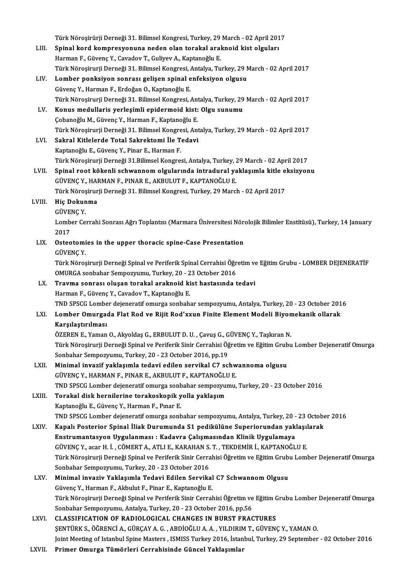|         | Türk Nöroşirürji Derneği 31. Bilimsel Kongresi, Turkey, 29 March - 02 April 2017                               |
|---------|----------------------------------------------------------------------------------------------------------------|
| LIII.   | Spinal kord kompresyonuna neden olan torakal araknoid kist olguları                                            |
|         | Harman F., Güvenç Y., Cavadov T., Guliyev A., Kaptanoğlu E.                                                    |
|         | Türk Nöroşirurji Derneği 31. Bilimsel Kongresi, Antalya, Turkey, 29 March - 02 April 2017                      |
| LIV.    | Lomber ponksiyon sonrası gelişen spinal enfeksiyon olgusu                                                      |
|         | Güvenç Y., Harman F., Erdoğan O., Kaptanoğlu E.                                                                |
|         | Türk Nöroşirurji Derneği 31. Bilimsel Kongresi, Antalya, Turkey, 29 March - 02 April 2017                      |
| LV.     | Konus medullaris yerleşimli epidermoid kist: Olgu sunumu                                                       |
|         | Çobanoğlu M., Güvenç Y., Harman F., Kaptanoğlu E.                                                              |
|         | Türk Nöroşirurji Derneği 31. Bilimsel Kongresi, Antalya, Turkey, 29 March - 02 April 2017                      |
| LVI.    | Sakral Kitlelerde Total Sakrektomi İle Tedavi                                                                  |
|         | Kaptanoğlu E., Güvenç Y., Pinar E., Harman F.                                                                  |
|         | Türk Nöroşirurji Derneği 31.Bilimsel Kongresi, Antalya, Turkey, 29 March - 02 April 2017                       |
| LVII.   | Spinal root kökenli schwannom olgularında intradural yaklaşımla kitle eksizyonu                                |
|         | GÜVENÇ Y., HARMAN F., PINAR E., AKBULUT F., KAPTANOĞLU E.                                                      |
|         | Türk Nöroşirurji Derneği 31. Bilimsel Kongresi, Turkey, 29 March - 02 April 2017                               |
| LVIII.  | Hiç Dokunma                                                                                                    |
|         | GÜVENÇ Y                                                                                                       |
|         | Lomber Cerrahi Sonrası Ağrı Toplantısı (Marmara Üniversitesi Nörolojik Bilimler Enstitüsü), Turkey, 14 January |
|         | 2017                                                                                                           |
| LIX.    | Osteotomies in the upper thoracic spine-Case Presentation                                                      |
|         | <b>GÜVENÇ Y</b>                                                                                                |
|         | Türk Nöroşirurji Derneği Spinal ve Periferik Spinal Cerrahisi Öğretim ve Eğitim Grubu - LOMBER DEJENERATİF     |
|         | OMURGA sonbahar Sempozyumu, Turkey, 20 - 23 October 2016                                                       |
| LX.     | Travma sonrası oluşan torakal araknoid kist hastasında tedavi                                                  |
|         | Harman F., Güvenç Y., Cavadov T., Kaptanoğlu E.                                                                |
|         | TND SPSCG Lomber dejeneratif omurga sonbahar sempozyumu, Antalya, Turkey, 20 - 23 October 2016                 |
|         |                                                                                                                |
| LXI.    | Lomber Omurgada Flat Rod ve Rijit Rod'xxun Finite Element Modeli Biyomekanik ollarak                           |
|         | Karsılastırılması                                                                                              |
|         | ÖZEREN E., Yaman O., Akyoldaş G., ERBULUT D. U., Çavuş G., GÜVENÇ Y., Taşkıran N.                              |
|         | Türk Nöroşirurji Derneği Spinal ve Periferik Sinir Cerrahisi Öğretim ve Eğitim Grubu Lomber Dejeneratif Omurga |
|         | Sonbahar Sempozyumu, Turkey, 20 - 23 October 2016, pp.19                                                       |
| LXII.   | Minimal invazif yaklaşımla tedavi edilen servikal C7 schwannoma olgusu                                         |
|         | GÜVENÇ Y., HARMAN F., PINAR E., AKBULUT F., KAPTANOĞLU E.                                                      |
|         | TND SPSCG Lomber dejeneratif omurga sonbahar sempozyumu, Turkey, 20 - 23 October 2016                          |
| LXIII.  | Torakal disk hernilerine torakoskopik yolla yaklaşım                                                           |
|         | Kaptanoğlu E., Güvenç Y., Harman F., Pınar E.                                                                  |
|         | TND SPSCG Lomber dejeneratif omurga sonbahar sempozyumu, Antalya, Turkey, 20 - 23 October 2016                 |
| LXIV.   | Kapalı Posterior Spinal İliak Durumunda S1 pedikülüne Superiorundan yaklaşılarak                               |
|         | Enstrumantasyon Uygulanması: Kadavra Çalışmasından Klinik Uygulamaya                                           |
|         | GÜVENÇ Y., acar H. İ., CÖMERT A., ATLI E., KARAHAN S. T., TEKDEMİR İ., KAPTANOĞLU E.                           |
|         | Türk Nöroşirurji Derneği Spinal ve Periferik Sinir Cerrahisi Öğretim ve Eğitim Grubu Lomber Dejeneratif Omurga |
|         | Sonbahar Sempozyumu, Turkey, 20 - 23 October 2016                                                              |
| LXV.    | Minimal invaziv Yaklaşımla Tedavi Edilen Servikal C7 Schwannom Olgusu                                          |
|         | Güvenç Y., Harman F., Akbulut F., Pinar E., Kaptanoğlu E.                                                      |
|         | Türk Nöroşirurji Derneği Spinal ve Periferik Sinir Cerrahisi Öğretim ve Eğitim Grubu Lomber Dejeneratif Omurga |
|         | Sonbahar Sempozyumu, Antalya, Turkey, 20 - 23 October 2016, pp.56                                              |
| LXVI.   | CLASSIFICATION OF RADIOLOGICAL CHANGES IN BURST FRACTURES                                                      |
|         | ŞENTÜRK S., ÖĞRENCİ A., GÜRÇAY A. G., ABDİOĞLU A. A., YILDIRIM T., GÜVENÇ Y., YAMAN O.                         |
|         | Joint Meeting of Istanbul Spine Masters, ISMISS Turkey 2016, İstanbul, Turkey, 29 September - 02 October 2016  |
| I VIIII | Drimor Omungo Tümörleri Cennebisinde Cüneel Veklesimler                                                        |

LXVII. Primer Omurga Tümörleri Cerrahisinde Güncel Yaklaşımlar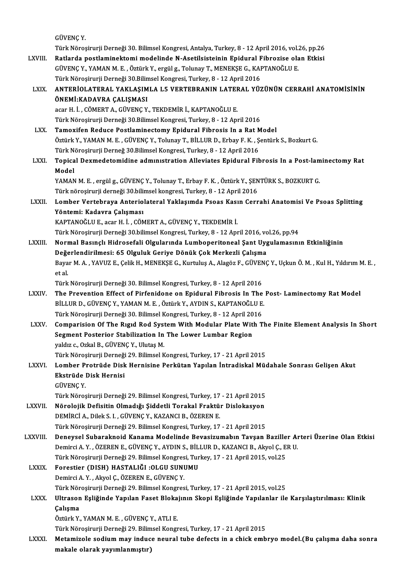GÜVENÇY.

GÜVENÇ Y.<br>Türk Nöroşirurji Derneği 30. Bilimsel Kongresi, Antalya, Turkey, 8 - 12 April 2016, vol.26, pp.26<br>Batlarda nostlaminaltami modalinda N. Asatilsisteinin Enidural Eihnarica alan Etkisi. GÜVENÇ Y.<br>Türk Nöroşirurji Derneği 30. Bilimsel Kongresi, Antalya, Turkey, 8 - 12 April 2016, vol.26, pp.26<br>LXVIII. Ratlarda postlaminektomi modelinde N-Asetilsisteinin Epidural Fibrozise olan Etkisi Türk Nöroşirurji Derneği 30. Bilimsel Kongresi, Antalya, Turkey, 8 - 12 April 2016, vol..<br><mark>Ratlarda postlaminektomi modelinde N-Asetilsisteinin Epidural Fibrozise ola</mark><br>GÜVENÇ Y., YAMAN M. E. , Öztürk Y., ergül g., Tolunay Ratlarda postlaminektomi modelinde N-Asetilsisteinin Epidural Fibrozise olan Etkisi<br>GÜVENÇ Y., YAMAN M. E. , Öztürk Y., ergül g., Tolunay T., MENEKŞE G., KAPTANOĞLU E.<br>Türk Nöroşirurji Derneği 30.Bilimsel Kongresi, Turkey, GÜVENÇ Y., YAMAN M. E. , Öztürk Y., ergül g., Tolunay T., MENEKŞE G., KAPTANOĞLU E.<br>Türk Nöroşirurji Derneği 30.Bilimsel Kongresi, Turkey, 8 - 12 April 2016<br>LXIX. — ANTERİOLATERAL YAKLAŞIMLA L5 VERTEBRANIN LATERAL YÜZÜNÜN Türk Nöroşirurji Derneği 30.Bilin<br>ANTERİOLATERAL YAKLAŞIM<br>ÖNEMİ:KADAVRA ÇALIŞMASI<br>2021 H. İ. GÖMEPT A GÜVENC Y ANTERİOLATERAL YAKLAŞIMLA L5 VERTEBRANIN LATEF<br>ÖNEMİ:KADAVRA ÇALIŞMASI<br>acar H. İ. , CÖMERT A., GÜVENÇ Y., TEKDEMİR İ., KAPTANOĞLU E.<br>Türk Nörosirurü Derneği 30 Bilimsel Kengresi Turkey 9, 13 Anı ÖNEMİ:KADAVRA ÇALIŞMASI<br>acar H. İ. , CÖMERT A., GÜVENÇ Y., TEKDEMİR İ., KAPTANOĞLU E.<br>Türk Nörosirurji Derneği 30.Bilimsel Kongresi, Turkey, 8 - 12 April 2016 acar H. İ. , CÖMERT A., GÜVENÇ Y., TEKDEMİR İ., KAPTANOĞLU E.<br>Türk Nöroşirurji Derneği 30.Bilimsel Kongresi, Turkey, 8 - 12 April 2016<br>LXX. Tamoxifen Reduce Postlaminectomy Epidural Fibrosis In a Rat Model<br>Östürk V. YA Öztürk Y., YAMAN M. E. , GÜVENÇ Y., Tolunay T., BİLLUR D., Erbay F. K. , Şentürk S., Bozkurt G.<br>Türk Nöroşirurji Derneğ 30 Bilimsel Kongresi, Turkey, 8 - 12 April 2016 Tamoxifen Reduce Postlaminectomy Epidural Fibrosis In a Rat M<br>Öztürk Y., YAMAN M. E. , GÜVENÇ Y., Tolunay T., BİLLUR D., Erbay F. K. , Ş<br>Türk Nöroşirurji Derneğ 30.Bilimsel Kongresi, Turkey, 8 - 12 April 2016<br>Tonisal Devrn Öztürk Y., YAMAN M. E. , GÜVENÇ Y., Tolunay T., BİLLUR D., Erbay F. K. , Şentürk S., Bozkurt G.<br>Türk Nöroşirurji Derneğ 30.Bilimsel Kongresi, Turkey, 8 - 12 April 2016<br>LXXI. Topical Dexmedetomidine admınıstration Allev Türk Ne<br><mark>Topica</mark><br>Model<br>VAMAN Topical Dexmedetomidine admınıstration Alleviates Epidural Fibrosis In a Post-lam<br>Model<br>YAMAN M.E., ergül g., GÜVENÇ Y., Tolunay T., Erbay F. K. , Öztürk Y., ŞENTÜRK S., BOZKURT G.<br>Türk pöresinyyi demeği 20 bilimsel kongre Model<br>YAMAN M. E. , ergül g., GÜVENÇ Y., Tolunay T., Erbay F. K. , Öztürk Y., ŞEN<br>Türk nöroşirurji derneği 30.bilimsel kongresi, Turkey, 8 - 12 April 2016<br>Lambar Vartahraya, Antarialataral Yaklasımda, Baasa Kasın Garr YAMAN M. E. , ergül g., GÜVENÇ Y., Tolunay T., Erbay F. K. , Öztürk Y., ŞENTÜRK S., BOZKURT G.<br>Türk nöroşirurji derneği 30.bilimsel kongresi, Turkey, 8 - 12 April 2016<br>LXXII. Lomber Vertebraya Anteriolateral Yaklaşımda Türk nöroşirurji derneği 30.bili<br>Lomber Vertebraya Anterio<br>Yöntemi: Kadavra Çalışması<br>KAPTANOČLUE 2001 H.İ. CÖN Lomber Vertebraya Anteriolateral Yaklaşımda Psoas Kası<br>Yöntemi: Kadavra Çalışması<br>KAPTANOĞLU E., acar H. İ. , CÖMERT A., GÜVENÇ Y., TEKDEMİR İ.<br>Türk Nönesinynü Derneği 20 bilimsel Kongresi Turkey 8, 12 Anı Yöntemi: Kadavra Çalışması<br>KAPTANOĞLU E., acar H. İ. , CÖMERT A., GÜVENÇ Y., TEKDEMİR İ.<br>Türk Nöroşirurji Derneği 30.bilimsel Kongresi, Turkey, 8 - 12 April 2016, vol.26, pp.94<br>Narmal Basınalı Hidrosafali Olsularında Lumba KAPTANOĞLU E., acar H. İ. , CÖMERT A., GÜVENÇ Y., TEKDEMİR İ.<br>Türk Nöroşirurji Derneği 30.bilimsel Kongresi, Turkey, 8 - 12 April 2016, vol.26, pp.94<br>LXXIII. Normal Basınçlı Hidrosefali Olgularında Lumboperitoneal Şant Uyg Türk Nöroşirurji Derneği 30.bilimsel Kongresi, Turkey, 8 - 12 April 2016, vo<br>Normal Basınçlı Hidrosefali Olgularında Lumboperitoneal Şant Uyg<br>Değerlendirilmesi: 65 Olguluk Geriye Dönük Çok Merkezli Çalışma<br>Pavar M.A., XAVI Normal Basınçlı Hidrosefali Olgularında Lumboperitoneal Şant Uygulamasının Etkinliğinin<br>Değerlendirilmesi: 65 Olguluk Geriye Dönük Çok Merkezli Çalışma<br>Bayar M. A. , YAVUZ E., Çelik H., MENEKŞE G., Kurtuluş A., Alagöz F., **Değe**<br>Baya<br>et al. Bayar M. A. , YAVUZ E., Çelik H., MENEKŞE G., Kurtuluş A., Alagöz F., GÜVEN<br>et al.<br>Türk Nöroşirurji Derneği 30. Bilimsel Kongresi, Turkey, 8 - 12 April 2016<br>The Prevention Effect of Birfonidane en Enidural Eibresis In The et al.<br>Türk Nöroşirurji Derneği 30. Bilimsel Kongresi, Turkey, 8 - 12 April 2016<br>LXXIV. The Prevention Effect of Pirfenidone on Epidural Fibrosis In The Post- Laminectomy Rat Model<br>PRILLIP D. CÜVENC V. YAMAN M. E. ÖTÜR Türk Nöroşirurji Derneği 30. Bilimsel Kongresi, Turkey, 8 - 12 April 2016<br>The Prevention Effect of Pirfenidone on Epidural Fibrosis In The<br>BİLLUR D., GÜVENÇ Y., YAMAN M. E. , Öztürk Y., AYDIN S., KAPTANOĞLU E.<br>Türk Nörosin The Prevention Effect of Pirfenidone on Epidural Fibrosis In The<br>BİLLUR D., GÜVENÇ Y., YAMAN M. E. , Öztürk Y., AYDIN S., KAPTANOĞLU E.<br>Türk Nöroşirurji Derneği 30. Bilimsel Kongresi, Turkey, 8 - 12 April 2016<br>Comparision BİLLUR D., GÜVENÇ Y., YAMAN M. E. , Öztürk Y., AYDIN S., KAPTANOĞLU E.<br>Türk Nöroşirurji Derneği 30. Bilimsel Kongresi, Turkey, 8 - 12 April 2016<br>LXXV. Comparision Of The Rıgıd Rod System With Modular Plate With The Fin Türk Nöroşirurji Derneği 30. Bilimsel Kongresi, Turkey, 8 - 12 April 20<br>Comparision Of The Rıgıd Rod System With Modular Plate Wit<br>Segment Posterior Stabilization In The Lower Lumbar Region<br>valduse Orkal B. CÜVENC V. Hutas Comparision Of The Rigid Rod Syst<br>Segment Posterior Stabilization In<br>yaldız c., Ozkal B., GÜVENÇ Y., Ulutaş M.<br>Türk Nörosinurii Derneği 20, Bilimasl K Segment Posterior Stabilization In The Lower Lumbar Region<br>yaldız c., Ozkal B., GÜVENÇ Y., Ulutaş M.<br>Türk Nöroşirurji Derneği 29. Bilimsel Kongresi, Turkey, 17 - 21 April 2015<br>Lambar Pratrüde Diek Hernisine Perkütan Yapıla yaldız c., Ozkal B., GÜVENÇ Y., Ulutaş M.<br>Türk Nöroşirurji Derneği 29. Bilimsel Kongresi, Turkey, 17 - 21 April 2015<br>LXXVI. Lomber Protrüde Disk Hernisine Perkütan Yapılan İntradiskal Müdahale Sonrası Gelişen Akut<br>Rkat Türk Nöroşirurji Derneği<br>Lomber Protrüde Disk<br>Ekstrüde Disk Hernisi<br>CÜVENC V Lomber P<br>Ekstrüde |<br>GÜVENÇ Y.<br>Törk Näres Ekstrüde Disk Hernisi<br>GÜVENÇ Y.<br>Türk Nöroşirurji Derneği 29. Bilimsel Kongresi, Turkey, 17 - 21 April 2015<br>Nörolojik Defisitin Olmadığı Siddetli Tonakal Enaktür Dialakasyon GÜVENÇ Y.<br>Türk Nöroşirurji Derneği 29. Bilimsel Kongresi, Turkey, 17 - 21 April 2015<br>LXXVII. – Nörolojik Defisitin Olmadığı Şiddetli Torakal Fraktür Dislokasyon<br>REMİRCİ A. Dilek S. L. GÜVENC V. KAZANCI B. ÖZEREN E Nörolojik Defisitin Olmadığı Şiddetli Torakal Fraktür Dislokasyon<br>DEMİRCİ A., Dilek S. I. , GÜVENÇ Y., KAZANCI B., ÖZEREN E. Türk Nöroşirurji Derneği 29. Bilimsel Kongresi, Turkey, 17 - 21 April 2015 LXXVIII. Deneysel Subaraknoid Kanama Modelinde Bevasizumabın Tavşan Baziller Arteri Üzerine Olan Etkisi Türk Nöroşirurji Derneği 29. Bilimsel Kongresi, Turkey, 17 - 21 April 2015<br>Deneysel Subaraknoid Kanama Modelinde Bevasizumabın Tavşan Baziller Aı<br>Demirci A. Y. , ÖZEREN E., GÜVENÇ Y., AYDIN S., BİLLUR D., KAZANCI B., Akyol Deneysel Subaraknoid Kanama Modelinde Bevasizumabın Tavşan Bazille<br>Demirci A. Y. , ÖZEREN E., GÜVENÇ Y., AYDIN S., BİLLUR D., KAZANCI B., Akyol Ç., E<br>Türk Nöroşirurji Derneği 29. Bilimsel Kongresi, Turkey, 17 - 21 April 20 Demirci A. Y. , ÖZEREN E., GÜVENÇ Y., AYDIN S., BİL.<br>Türk Nöroşirurji Derneği 29. Bilimsel Kongresi, Tur<br>LXXIX. Forestier (DISH) HASTALIĞI :OLGU SUNUMU<br>Demirci A. Y. Alrıcl G. ÖZEPEN E. GÜVENC Y Türk Nöroşirurji Derneği 29. Bilimsel Kongresi, Turkey, 17 - 21 April 2015, vol.25<br>Forestier (DISH) HASTALIĞI :OLGU SUNUMU<br>Demirci A.Y., Akyol C., ÖZEREN E., GÜVENÇ Y. Forestier (DISH) HASTALIĞI :OLGU SUNUMU<br>Demirci A. Y. , Akyol Ç., ÖZEREN E., GÜVENÇ Y.<br>Türk Nöroşirurji Derneği 29. Bilimsel Kongresi, Turkey, 17 - 21 April 2015, vol.25<br>Ultresen Esliğinde Yanılan Feset Bleksimun Skeni Esl Demirci A. Y. , Akyol Ç., ÖZEREN E., GÜVENÇ Y.<br>Türk Nöroşirurji Derneği 29. Bilimsel Kongresi, Turkey, 17 - 21 April 2015, vol.25<br>LXXX. Ultrason Eşliğinde Yapılan Faset Blokajının Skopi Eşliğinde Yapılanlar ile Karşıla Türk Nör<br>Ultrason<br>Çalışma<br>Öztürk Y Ultrason Eşliğinde Yapılan Faset Bloka<br>Çalışma<br>Öztürk Y., YAMAN M. E. , GÜVENÇ Y., ATLI E.<br>Türk Nöresinuni Demeği 20 Bilimsel Kensu Çalışma<br>Öztürk Y., YAMAN M. E. , GÜVENÇ Y., ATLI E.<br>Türk Nöroşirurji Derneği 29. Bilimsel Kongresi, Turkey, 17 - 21 April 2015 LXXXI. Metamizole sodium may induce neural tube defects in a chick embryo model.(Bu çalışma daha sonra makale olarak yayımlanmıştır)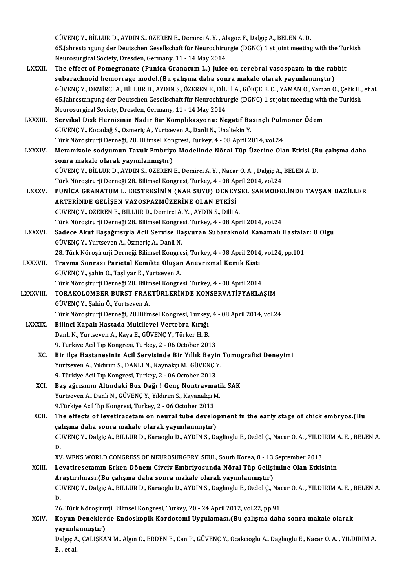GÜVENÇY.,BİLLURD.,AYDINS.,ÖZERENE.,DemirciA.Y. ,AlagözF.,DalgiçA.,BELENA.D. GÜVENÇ Y., BİLLUR D., AYDIN S., ÖZEREN E., Demirci A. Y. , Alagöz F., Dalgiç A., BELEN A. D.<br>65.Jahrestangung der Deutschen Gesellschaft für Neurochirurgie (DGNC) 1 st joint meeting with the Turkish<br>Neurosurgisal Society, GÜVENÇ Y., BİLLUR D., AYDIN S., ÖZEREN E., Demirci A. Y. , Al<br>65.Jahrestangung der Deutschen Gesellschaft für Neurochiru<br>Neurosurgical Society, Dresden, Germany, 11 - 14 May 2014<br>The effect of Bernegranate (Bunise Granatum 65.Jahrestangung der Deutschen Gesellschaft für Neurochirurgie (DGNC) 1 st joint meeting with the Turkum Neurosurgical Society, Dresden, Germany, 11 - 14 May 2014<br>LXXXII. The effect of Pomegranate (Punica Granatum L.) juic

- Neurosurgical Society, Dresden, Germany, 11 14 May 2014<br>The effect of Pomegranate (Punica Granatum L.) juice on cerebral vasospazm in the rabbit<br>subarachnoid hemorrage model.(Bu çalışma daha sonra makale olarak yayımlanm The effect of Pomegranate (Punica Granatum L.) juice on cerebral vasospazm in the rabbit<br>subarachnoid hemorrage model.(Bu çalışma daha sonra makale olarak yayımlanmıştır)<br>GÜVENÇ Y., DEMİRCİ A., BİLLUR D., AYDIN S., ÖZEREN subarachnoid hemorrage model.(Bu çalışma daha sonra makale olarak yayımlanmıştır)<br>GÜVENÇ Y., DEMİRCİ A., BİLLUR D., AYDIN S., ÖZEREN E., DİLLİ A., GÖKÇE E. C. , YAMAN O., Yaman O., Çelik H.,<br>65.Jahrestangung der Deutschen GÜVENÇ Y., DEMİRCİ A., BİLLUR D., AYDIN S., ÖZEREN E., DİL<br>65.Jahrestangung der Deutschen Gesellschaft für Neurochiru<br>Neurosurgical Society, Dresden, Germany, 11 - 14 May 2014<br>Servikal Disk Hernisinin Nadir Bir Komplikasyo 65.Jahrestangung der Deutschen Gesellschaft für Neurochirurgie (DGNC) 1 st joint meeting with the Turkish<br>Neurosurgical Society, Dresden, Germany, 11 - 14 May 2014<br>LXXXIII. Servikal Disk Hernisinin Nadir Bir Komplikasyonu:
- GÜVENÇY.,Kocadağ S.,ÖzmeriçA.,YurtsevenA.,DanliN.,ÜnaltekinY. Servikal Disk Hernisinin Nadir Bir Komplikasyonu: Negatif Basınclı Pulmoner Ödem Türk Nöroşirurji Derneği, 28. Bilimsel Kongresi, Turkey, 4 - 08 April 2014, vol 24
- LXXXIV. Metamizole sodyumun Tavuk Embriyo Modelinde Nöral Tüp Üzerine Olan Etkisi.(Bu çalışma daha Metamizole sodyumun Tavuk Embriyo Modelinde Nöral Tüp Üzerine Olan Etkisi.(B<br>sonra makale olarak yayımlanmıştır)<br>GÜVENÇ Y., BİLLUR D., AYDIN S., ÖZEREN E., Demirci A. Y. , Nacar O. A. , Dalgiç A., BELEN A. D.<br>Türk Nörosinu Sonra makale olarak yayımlanmıştır)<br>GÜVENÇ Y., BİLLUR D., AYDIN S., ÖZEREN E., Demirci A. Y. , Nacar O. A. , Dalgiç A.,<br>Türk Nöroşirurji Derneği 28. Bilimsel Kongresi, Turkey, 4 - 08 April 2014, vol.24<br>BUNİCA CRANATUM L. E GÜVENÇ Y., BİLLUR D., AYDIN S., ÖZEREN E., Demirci A. Y. , Nacar O. A. , Dalgiç A., BELEN A. D.<br>Türk Nöroşirurji Derneği 28. Bilimsel Kongresi, Turkey, 4 - 08 April 2014, vol.24<br>LXXXV. PUNİCA GRANATUM L. EKSTRESİNİN (N
- Türk Nöroşirurji Derneği 28. Bilimsel Kongresi, Turkey, 4 08 April 2014, vol.24<br>PUNİCA GRANATUM L. EKSTRESİNİN (NAR SUYU) DENEYSEL SAKMODE<br>ARTERİNDE GELİŞEN VAZOSPAZMÜZERİNE OLAN ETKİSİ<br>GÜVENC Y., ÖZEREN E., BİLLUR D., D PUNİCA GRANATUM L. EKSTRESİNİN (NAR SUYU) DENEYS<br>ARTERİNDE GELİŞEN VAZOSPAZMÜZERİNE OLAN ETKİSİ<br>GÜVENÇ Y., ÖZEREN E., BİLLUR D., Demirci A. Y. , AYDIN S., Dilli A.<br>Türk Nörosinurii Derneği 38. Bilimool Kongresi Turkey 4., Türk Nöroşirurji Derneği 28. Bilimsel Kongresi, Turkey, 4 - 08 April 2014, vol.24 GÜVENÇ Y., ÖZEREN E., BİLLUR D., Demirci A. Y. , AYDIN S., Dilli A.<br>Türk Nöroşirurji Derneği 28. Bilimsel Kongresi, Turkey, 4 - 08 April 2014, vol.24<br>LXXXVI. Sadece Akut Başağrısıyla Acil Servise Başvuran Subaraknoid Kanam
- Türk Nöroşirurji Derneği 28. Bilimsel Kongre<br>Sadece Akut Başağrısıyla Acil Servise Ba<br>GÜVENÇ Y., Yurtseven A., Özmeriç A., Danli N.<br>28. Türk Nörosirurji Derneği Bilimsel Kongre Sadece Akut Başağrısıyla Acil Servise Başvuran Subaraknoid Kanamalı Hastala<br>GÜVENÇ Y., Yurtseven A., Özmeriç A., Danli N.<br>28. Türk Nöroşirurji Derneği Bilimsel Kongresi, Turkey, 4 - 08 April 2014, vol.24, pp.101<br>Trayma Son

- GÜVENÇ Y., Yurtseven A., Özmeriç A., Danli N.<br>28. Türk Nöroşirurji Derneği Bilimsel Kongresi, Turkey, 4 08 April 2014<br>LXXXVII. Travma Sonrası Parietal Kemikte Oluşan Anevrizmal Kemik Kisti 28. Türk Nöroşirurji Derneği Bilimsel Kongresi, Turkey, 4 - 08 April 2014, vol.24, pp.101<br>Travma Sonrası Parietal Kemikte Oluşan Anevrizmal Kemik Kisti<br>GÜVENÇ Y., şahin Ö., Taşlıyar E., Yurtseven A.<br>Türk Nöroşirurji Derneğ Travma Sonrası Parietal Kemikte Oluşan Anevrizmal Kemik Kisti<br>GÜVENÇ Y., şahin Ö., Taşlıyar E., Yurtseven A.<br>Türk Nöroşirurji Derneği 28. Bilimsel Kongresi, Turkey, 4 - 08 April 2014<br>TORAKOLOMPER PURST ERAKTÜRI ERİNDE KONS GÜVENÇ Y., şahin Ö., Taşlıyar E., Yurtseven A.<br>Türk Nöroşirurji Derneği 28. Bilimsel Kongresi, Turkey, 4 - 08 April 2014<br>LXXXVIII. TORAKOLOMBER BURST FRAKTÜRLERİNDE KONSERVATİFYAKLAŞIM
- Türk Nöroşirurji Derneği 28. Bilin<br><mark>TORAKOLOMBER BURST FRAK</mark><br>GÜVENÇ Y., Şahin Ö., Yurtseven A.<br>Türk Nörosinurii Derneği, 28 Bilin TORAKOLOMBER BURST FRAKTÜRLERİNDE KONSERVATİFYAKLAŞIM<br>GÜVENÇ Y., Şahin Ö., Yurtseven A.<br>Türk Nöroşirurji Derneği, 28.Bilimsel Kongresi, Turkey, 4 - 08 April 2014, vol.24<br>Bilingi Konalı Hastada Multilaval Vartabra Kırığı GÜVENÇ Y., Şahin Ö., Yurtseven A.<br>Türk Nöroşirurji Derneği, 28.Bilimsel Kongresi, Turkey<br>LXXXIX. Bilinci Kapalı Hastada Multilevel Vertebra Kırığı
- Türk Nöroşirurji Derneği, 28.Bilimsel Kongresi, Turkey.<br>Bilinci Kapalı Hastada Multilevel Vertebra Kırığı<br>Danlı N., Yurtseven A., Kaya E., GÜVENÇ Y., Türker H. B.<br>9. Türkiye Asil Tır Kongresi Turkey, 2., 96 Osteber 201 Bilinci Kapalı Hastada Multilevel Vertebra Kırığı<br>Danlı N., Yurtseven A., Kaya E., GÜVENÇ Y., Türker H. B.<br>9. Türkiye Acil Tıp Kongresi, Turkey, 2 - 06 October 2013<br>Pir ilsə Hastanasinin Asil Sarvisində Pir Yıllık Pevil
	- Danlı N., Yurtseven A., Kaya E., GÜVENÇ Y., Türker H. B.<br>9. Türkiye Acil Tıp Kongresi, Turkey, 2 06 October 2013<br>XC. Bir ilçe Hastanesinin Acil Servisinde Bir Yıllık Beyin Tomografisi Deneyimi<br>Yurtseven A. Yıldırım S. DA 9. Türkiye Acil Tıp Kongresi, Turkey, 2 - 06 October 2013<br>Bir ilçe Hastanesinin Acil Servisinde Bir Yıllık Beyin<br>Yurtseven A., Yıldırım S., DANLI N., Kaynakçı M., GÜVENÇ Y.<br>9. Türkiye Acil Tıp Kongresi Turkey, 2., 06 Ostob Bir ilçe Hastanesinin Acil Servisinde Bir Yıllık Beyir<br>Yurtseven A., Yıldırım S., DANLI N., Kaynakçı M., GÜVENÇ )<br>9. Türkiye Acil Tıp Kongresi, Turkey, 2 - 06 October 2013<br>Bes ağrısının Altındaki Bur Dağı I Cans Nantrauma Yurtseven A., Yıldırım S., DANLI N., Kaynakçı M., GÜVENÇ Y.<br>9. Türkiye Acil Tıp Kongresi, Turkey, 2 - 06 October 2013<br>XCI. Baş ağrısının Altındaki Buz Dağı ! Genç Nontravmatik SAK<br>Xurtseven A. Danli N. CÜVENC X. Yıldırım S
	- 9. Türkiye Acil Tıp Kongresi, Turkey, 2 06 October 2013<br>Baş ağrısının Altındaki Buz Dağı ! Genç Nontravmati<br>Yurtseven A., Danli N., GÜVENÇ Y., Yıldırım S., Kayanakçı M.<br>9 Türkiye Asil Tın Kongresi Turkey, 2., 06 Ostober Baş ağrısının Altındaki Buz Dağı ! Genç Nontravma<br>Yurtseven A., Danli N., GÜVENÇ Y., Yıldırım S., Kayanakçı N<br>9.Türkiye Acil Tıp Kongresi, Turkey, 2 - 06 October 2013<br>The effects of levetinasetam on neural tube devele
	- Yurtseven A., Danli N., GÜVENÇ Y., Yıldırım S., Kayanakçı M.<br>9.Türkiye Acil Tıp Kongresi, Turkey, 2 06 October 2013<br>XCII. The effects of levetiracetam on neural tube development in the early stage of chick embryos.(B 9.Türkiye Acil Tıp Kongresi, Turkey, 2 - 06 October 2013<br>The effects of levetiracetam on neural tube develop<br>çalışma daha sonra makale olarak yayımlanmıştır)<br>CÜVENC Y. Dakis A. BİLLUR D. Karaoslu D. AYDIN S. De The effects of levetiracetam on neural tube development in the early stage of chick embryos.(Bu<br>çalışma daha sonra makale olarak yayımlanmıştır)<br>GÜVENÇ Y., Dalgiç A., BİLLUR D., Karaoglu D., AYDIN S., Daglioglu E., Özdöl Ç ga<br>G<br>D.<br>Vu GÜVENÇ Y., Dalgiç A., BİLLUR D., Karaoglu D., AYDIN S., Daglioglu E., Özdöl Ç., Nacar O. A. , YILDIRIM A. E. , BELEN A.<br>D.

XV. WFNS WORLD CONGRESS OF NEUROSURGERY, SEUL, South Korea, 8 - 13 September 2013

XCIII. Levatiresetamın Erken Dönem Civciv Embriyosunda Nöral Tüp Gelişimine Olan Etkisinin<br>Araştırılması.(Bu çalışma daha sonra makale olarak yayımlanmıştır) Levatiresetamın Erken Dönem Civciv Embriyosunda Nöral Tüp Gelişimine Olan Etkisinin<br>Araştırılması.(Bu çalışma daha sonra makale olarak yayımlanmıştır)<br>GÜVENÇ Y., Dalgiç A., BİLLUR D., Karaoglu D., AYDIN S., Daglioglu E., Ö Ar<br>Gl<br>D.<br>26 GÜVENÇ Y., Dalgiç A., BİLLUR D., Karaoglu D., AYDIN S., Daglioglu E., Özdöl Ç., Nad<br>D.<br>26. Türk Nöroşirurji Bilimsel Kongresi, Turkey, 20 - 24 April 2012, vol.22, pp.91<br>Koyun Danaklarda Endaskanik Kardatami Hygulaması (Bu

D.<br>26. Türk Nöroşirurji Bilimsel Kongresi, Turkey, 20 - 24 April 2012, vol.22, pp.91<br>XCIV. Koyun Deneklerde Endoskopik Kordotomi Uygulaması.(Bu çalışma daha sonra makale olarak<br>vayımlanmıştır) 26. Türk Nöroşiru<br><mark>Koyun Denekler</mark><br>yayımlanmıştır)<br>Pekis A. GALISKA Koyun Deneklerde Endoskopik Kordotomi Uygulaması.(Bu çalışma daha sonra makale olarak<br>yayımlanmıştır)<br>Dalgiç A., ÇALIŞKAN M., Algin O., ERDEN E., Can P., GÜVENÇ Y., Ocakcioglu A., Daglioglu E., Nacar O. A. , YILDIRIM A.<br>E.

<mark>yayıml</mark>a<br>Dalgiç A<br>E. , et al.